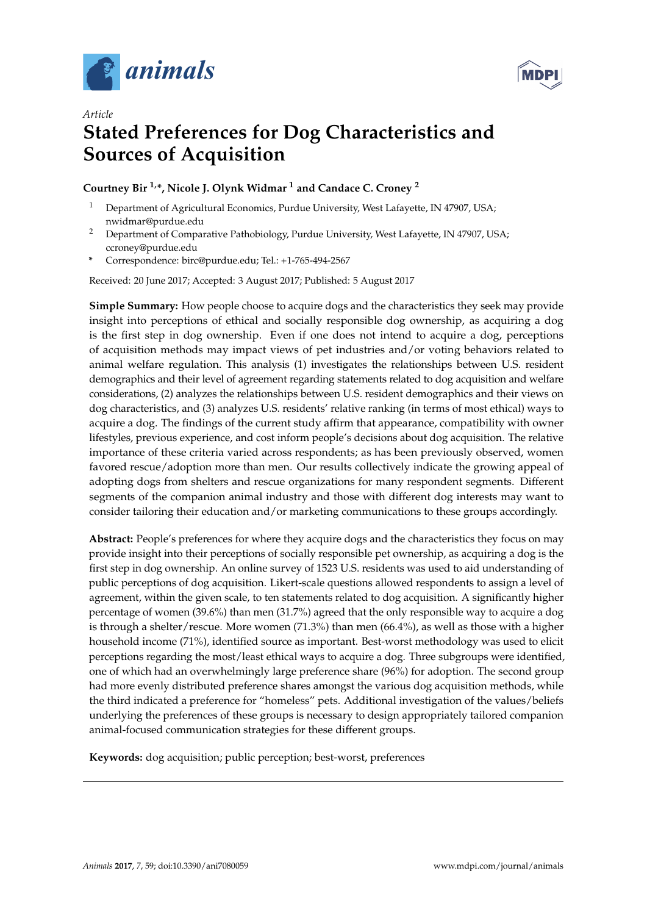



## *Article* **Stated Preferences for Dog Characteristics and Sources of Acquisition**

## **Courtney Bir 1,\*, Nicole J. Olynk Widmar <sup>1</sup> and Candace C. Croney <sup>2</sup>**

- Department of Agricultural Economics, Purdue University, West Lafayette, IN 47907, USA; nwidmar@purdue.edu
- <sup>2</sup> Department of Comparative Pathobiology, Purdue University, West Lafayette, IN 47907, USA; ccroney@purdue.edu
- **\*** Correspondence: birc@purdue.edu; Tel.: +1-765-494-2567

Received: 20 June 2017; Accepted: 3 August 2017; Published: 5 August 2017

**Simple Summary:** How people choose to acquire dogs and the characteristics they seek may provide insight into perceptions of ethical and socially responsible dog ownership, as acquiring a dog is the first step in dog ownership. Even if one does not intend to acquire a dog, perceptions of acquisition methods may impact views of pet industries and/or voting behaviors related to animal welfare regulation. This analysis (1) investigates the relationships between U.S. resident demographics and their level of agreement regarding statements related to dog acquisition and welfare considerations, (2) analyzes the relationships between U.S. resident demographics and their views on dog characteristics, and (3) analyzes U.S. residents' relative ranking (in terms of most ethical) ways to acquire a dog. The findings of the current study affirm that appearance, compatibility with owner lifestyles, previous experience, and cost inform people's decisions about dog acquisition. The relative importance of these criteria varied across respondents; as has been previously observed, women favored rescue/adoption more than men. Our results collectively indicate the growing appeal of adopting dogs from shelters and rescue organizations for many respondent segments. Different segments of the companion animal industry and those with different dog interests may want to consider tailoring their education and/or marketing communications to these groups accordingly.

**Abstract:** People's preferences for where they acquire dogs and the characteristics they focus on may provide insight into their perceptions of socially responsible pet ownership, as acquiring a dog is the first step in dog ownership. An online survey of 1523 U.S. residents was used to aid understanding of public perceptions of dog acquisition. Likert-scale questions allowed respondents to assign a level of agreement, within the given scale, to ten statements related to dog acquisition. A significantly higher percentage of women (39.6%) than men (31.7%) agreed that the only responsible way to acquire a dog is through a shelter/rescue. More women (71.3%) than men (66.4%), as well as those with a higher household income (71%), identified source as important. Best-worst methodology was used to elicit perceptions regarding the most/least ethical ways to acquire a dog. Three subgroups were identified, one of which had an overwhelmingly large preference share (96%) for adoption. The second group had more evenly distributed preference shares amongst the various dog acquisition methods, while the third indicated a preference for "homeless" pets. Additional investigation of the values/beliefs underlying the preferences of these groups is necessary to design appropriately tailored companion animal-focused communication strategies for these different groups.

**Keywords:** dog acquisition; public perception; best-worst, preferences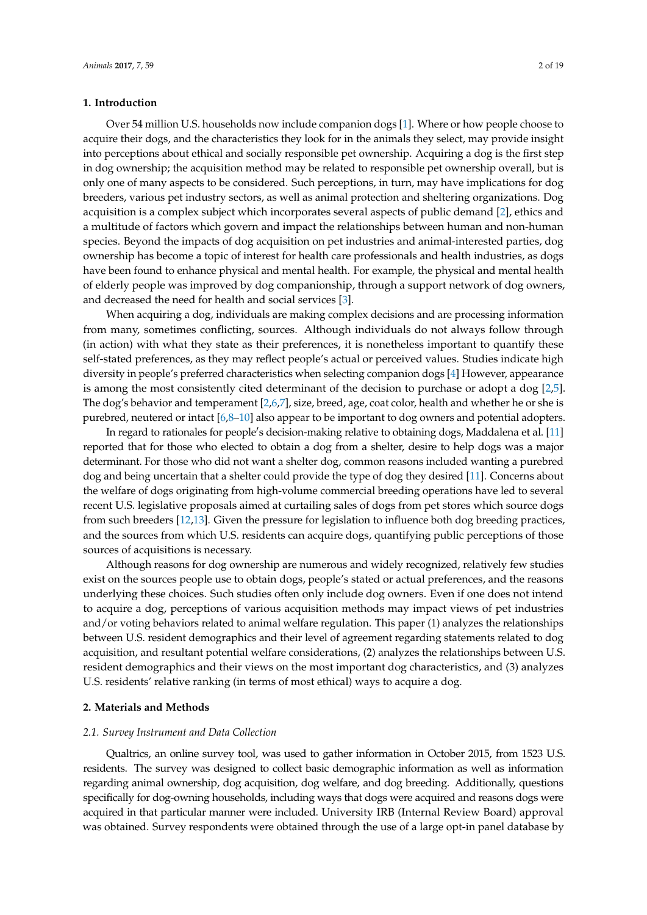## **1. Introduction**

Over 54 million U.S. households now include companion dogs [\[1\]](#page-17-0). Where or how people choose to acquire their dogs, and the characteristics they look for in the animals they select, may provide insight into perceptions about ethical and socially responsible pet ownership. Acquiring a dog is the first step in dog ownership; the acquisition method may be related to responsible pet ownership overall, but is only one of many aspects to be considered. Such perceptions, in turn, may have implications for dog breeders, various pet industry sectors, as well as animal protection and sheltering organizations. Dog acquisition is a complex subject which incorporates several aspects of public demand [\[2\]](#page-17-1), ethics and a multitude of factors which govern and impact the relationships between human and non-human species. Beyond the impacts of dog acquisition on pet industries and animal-interested parties, dog ownership has become a topic of interest for health care professionals and health industries, as dogs have been found to enhance physical and mental health. For example, the physical and mental health of elderly people was improved by dog companionship, through a support network of dog owners, and decreased the need for health and social services [\[3\]](#page-17-2).

When acquiring a dog, individuals are making complex decisions and are processing information from many, sometimes conflicting, sources. Although individuals do not always follow through (in action) with what they state as their preferences, it is nonetheless important to quantify these self-stated preferences, as they may reflect people's actual or perceived values. Studies indicate high diversity in people's preferred characteristics when selecting companion dogs [\[4\]](#page-17-3) However, appearance is among the most consistently cited determinant of the decision to purchase or adopt a dog [\[2,](#page-17-1)[5\]](#page-17-4). The dog's behavior and temperament [\[2,](#page-17-1)[6](#page-17-5)[,7\]](#page-17-6), size, breed, age, coat color, health and whether he or she is purebred, neutered or intact [\[6,](#page-17-5)[8](#page-17-7)[–10\]](#page-17-8) also appear to be important to dog owners and potential adopters.

In regard to rationales for people's decision-making relative to obtaining dogs, Maddalena et al. [\[11\]](#page-17-9) reported that for those who elected to obtain a dog from a shelter, desire to help dogs was a major determinant. For those who did not want a shelter dog, common reasons included wanting a purebred dog and being uncertain that a shelter could provide the type of dog they desired [\[11\]](#page-17-9). Concerns about the welfare of dogs originating from high-volume commercial breeding operations have led to several recent U.S. legislative proposals aimed at curtailing sales of dogs from pet stores which source dogs from such breeders [\[12,](#page-17-10)[13\]](#page-17-11). Given the pressure for legislation to influence both dog breeding practices, and the sources from which U.S. residents can acquire dogs, quantifying public perceptions of those sources of acquisitions is necessary.

Although reasons for dog ownership are numerous and widely recognized, relatively few studies exist on the sources people use to obtain dogs, people's stated or actual preferences, and the reasons underlying these choices. Such studies often only include dog owners. Even if one does not intend to acquire a dog, perceptions of various acquisition methods may impact views of pet industries and/or voting behaviors related to animal welfare regulation. This paper (1) analyzes the relationships between U.S. resident demographics and their level of agreement regarding statements related to dog acquisition, and resultant potential welfare considerations, (2) analyzes the relationships between U.S. resident demographics and their views on the most important dog characteristics, and (3) analyzes U.S. residents' relative ranking (in terms of most ethical) ways to acquire a dog.

## **2. Materials and Methods**

## *2.1. Survey Instrument and Data Collection*

Qualtrics, an online survey tool, was used to gather information in October 2015, from 1523 U.S. residents. The survey was designed to collect basic demographic information as well as information regarding animal ownership, dog acquisition, dog welfare, and dog breeding. Additionally, questions specifically for dog-owning households, including ways that dogs were acquired and reasons dogs were acquired in that particular manner were included. University IRB (Internal Review Board) approval was obtained. Survey respondents were obtained through the use of a large opt-in panel database by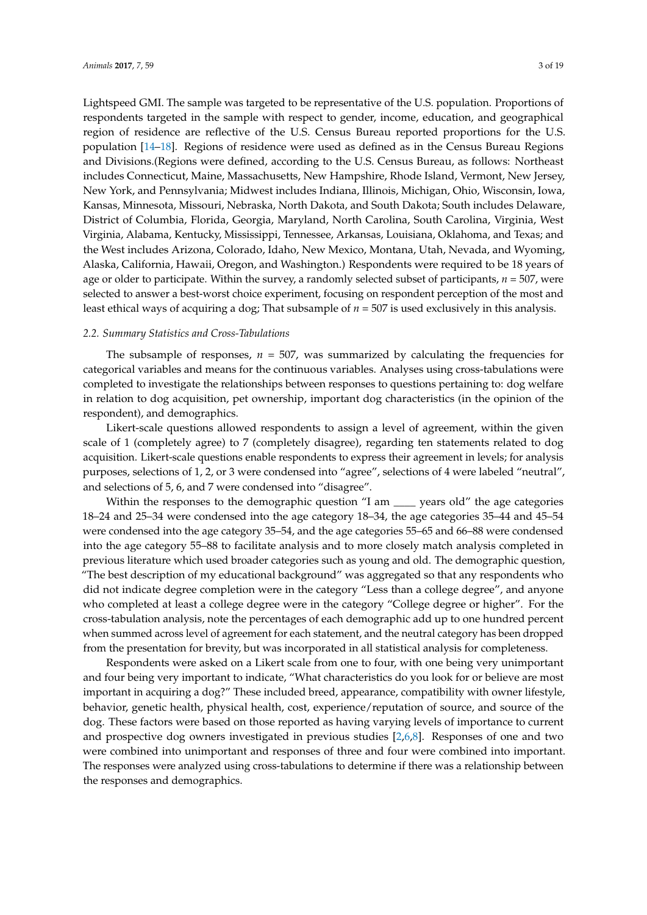Lightspeed GMI. The sample was targeted to be representative of the U.S. population. Proportions of respondents targeted in the sample with respect to gender, income, education, and geographical region of residence are reflective of the U.S. Census Bureau reported proportions for the U.S. population [\[14–](#page-17-12)[18\]](#page-17-13). Regions of residence were used as defined as in the Census Bureau Regions and Divisions.(Regions were defined, according to the U.S. Census Bureau, as follows: Northeast includes Connecticut, Maine, Massachusetts, New Hampshire, Rhode Island, Vermont, New Jersey, New York, and Pennsylvania; Midwest includes Indiana, Illinois, Michigan, Ohio, Wisconsin, Iowa, Kansas, Minnesota, Missouri, Nebraska, North Dakota, and South Dakota; South includes Delaware, District of Columbia, Florida, Georgia, Maryland, North Carolina, South Carolina, Virginia, West Virginia, Alabama, Kentucky, Mississippi, Tennessee, Arkansas, Louisiana, Oklahoma, and Texas; and the West includes Arizona, Colorado, Idaho, New Mexico, Montana, Utah, Nevada, and Wyoming, Alaska, California, Hawaii, Oregon, and Washington.) Respondents were required to be 18 years of age or older to participate. Within the survey, a randomly selected subset of participants, *n* = 507, were selected to answer a best-worst choice experiment, focusing on respondent perception of the most and least ethical ways of acquiring a dog; That subsample of *n* = 507 is used exclusively in this analysis.

#### *2.2. Summary Statistics and Cross-Tabulations*

The subsample of responses,  $n = 507$ , was summarized by calculating the frequencies for categorical variables and means for the continuous variables. Analyses using cross-tabulations were completed to investigate the relationships between responses to questions pertaining to: dog welfare in relation to dog acquisition, pet ownership, important dog characteristics (in the opinion of the respondent), and demographics.

Likert-scale questions allowed respondents to assign a level of agreement, within the given scale of 1 (completely agree) to 7 (completely disagree), regarding ten statements related to dog acquisition. Likert-scale questions enable respondents to express their agreement in levels; for analysis purposes, selections of 1, 2, or 3 were condensed into "agree", selections of 4 were labeled "neutral", and selections of 5, 6, and 7 were condensed into "disagree".

Within the responses to the demographic question "I am \_\_\_\_ years old" the age categories 18–24 and 25–34 were condensed into the age category 18–34, the age categories 35–44 and 45–54 were condensed into the age category 35–54, and the age categories 55–65 and 66–88 were condensed into the age category 55–88 to facilitate analysis and to more closely match analysis completed in previous literature which used broader categories such as young and old. The demographic question, "The best description of my educational background" was aggregated so that any respondents who did not indicate degree completion were in the category "Less than a college degree", and anyone who completed at least a college degree were in the category "College degree or higher". For the cross-tabulation analysis, note the percentages of each demographic add up to one hundred percent when summed across level of agreement for each statement, and the neutral category has been dropped from the presentation for brevity, but was incorporated in all statistical analysis for completeness.

Respondents were asked on a Likert scale from one to four, with one being very unimportant and four being very important to indicate, "What characteristics do you look for or believe are most important in acquiring a dog?" These included breed, appearance, compatibility with owner lifestyle, behavior, genetic health, physical health, cost, experience/reputation of source, and source of the dog. These factors were based on those reported as having varying levels of importance to current and prospective dog owners investigated in previous studies [\[2,](#page-17-1)[6](#page-17-5)[,8\]](#page-17-7). Responses of one and two were combined into unimportant and responses of three and four were combined into important. The responses were analyzed using cross-tabulations to determine if there was a relationship between the responses and demographics.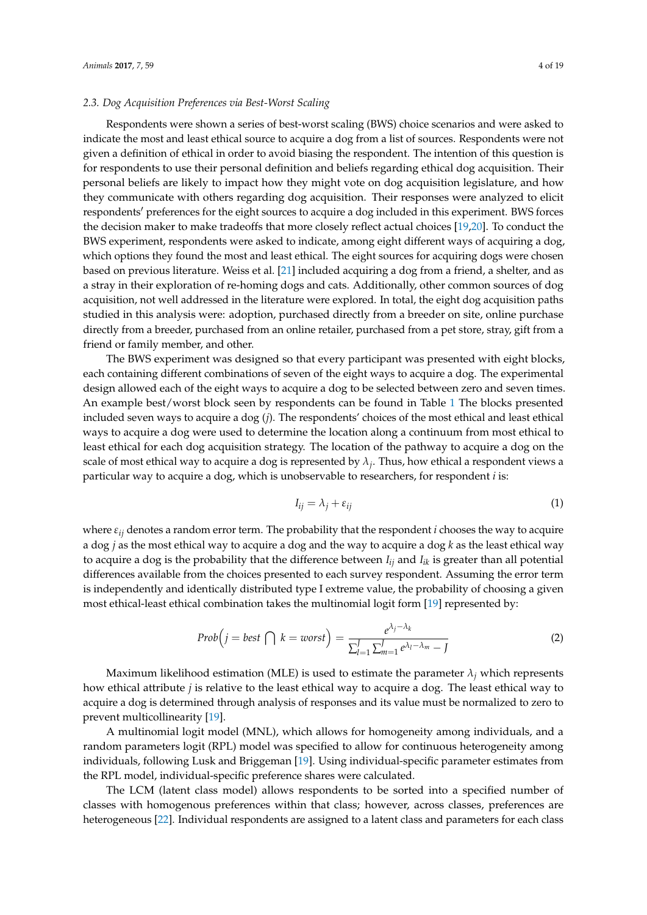## *2.3. Dog Acquisition Preferences via Best-Worst Scaling*

Respondents were shown a series of best-worst scaling (BWS) choice scenarios and were asked to indicate the most and least ethical source to acquire a dog from a list of sources. Respondents were not given a definition of ethical in order to avoid biasing the respondent. The intention of this question is for respondents to use their personal definition and beliefs regarding ethical dog acquisition. Their personal beliefs are likely to impact how they might vote on dog acquisition legislature, and how they communicate with others regarding dog acquisition. Their responses were analyzed to elicit respondents' preferences for the eight sources to acquire a dog included in this experiment. BWS forces the decision maker to make tradeoffs that more closely reflect actual choices [\[19](#page-17-14)[,20\]](#page-17-15). To conduct the BWS experiment, respondents were asked to indicate, among eight different ways of acquiring a dog, which options they found the most and least ethical. The eight sources for acquiring dogs were chosen based on previous literature. Weiss et al. [\[21\]](#page-17-16) included acquiring a dog from a friend, a shelter, and as a stray in their exploration of re-homing dogs and cats. Additionally, other common sources of dog acquisition, not well addressed in the literature were explored. In total, the eight dog acquisition paths studied in this analysis were: adoption, purchased directly from a breeder on site, online purchase directly from a breeder, purchased from an online retailer, purchased from a pet store, stray, gift from a friend or family member, and other.

The BWS experiment was designed so that every participant was presented with eight blocks, each containing different combinations of seven of the eight ways to acquire a dog. The experimental design allowed each of the eight ways to acquire a dog to be selected between zero and seven times. An example best/worst block seen by respondents can be found in Table [1](#page-4-0) The blocks presented included seven ways to acquire a dog (*j*). The respondents' choices of the most ethical and least ethical ways to acquire a dog were used to determine the location along a continuum from most ethical to least ethical for each dog acquisition strategy. The location of the pathway to acquire a dog on the scale of most ethical way to acquire a dog is represented by  $\lambda_j$ . Thus, how ethical a respondent views a particular way to acquire a dog, which is unobservable to researchers, for respondent *i* is:

$$
I_{ij} = \lambda_j + \varepsilon_{ij} \tag{1}
$$

where *εij* denotes a random error term. The probability that the respondent *i* chooses the way to acquire a dog *j* as the most ethical way to acquire a dog and the way to acquire a dog *k* as the least ethical way to acquire a dog is the probability that the difference between  $I_{ij}$  and  $I_{ik}$  is greater than all potential differences available from the choices presented to each survey respondent. Assuming the error term is independently and identically distributed type I extreme value, the probability of choosing a given most ethical-least ethical combination takes the multinomial logit form [\[19\]](#page-17-14) represented by:

$$
Prob\left(j=best\bigcap k=worst\right)=\frac{e^{\lambda_j-\lambda_k}}{\sum_{l=1}^{J}\sum_{m=1}^{J}e^{\lambda_l-\lambda_m}-J}
$$
\n(2)

Maximum likelihood estimation (MLE) is used to estimate the parameter  $\lambda_i$  which represents how ethical attribute *j* is relative to the least ethical way to acquire a dog. The least ethical way to acquire a dog is determined through analysis of responses and its value must be normalized to zero to prevent multicollinearity [\[19\]](#page-17-14).

A multinomial logit model (MNL), which allows for homogeneity among individuals, and a random parameters logit (RPL) model was specified to allow for continuous heterogeneity among individuals, following Lusk and Briggeman [\[19\]](#page-17-14). Using individual-specific parameter estimates from the RPL model, individual-specific preference shares were calculated.

The LCM (latent class model) allows respondents to be sorted into a specified number of classes with homogenous preferences within that class; however, across classes, preferences are heterogeneous [\[22\]](#page-18-0). Individual respondents are assigned to a latent class and parameters for each class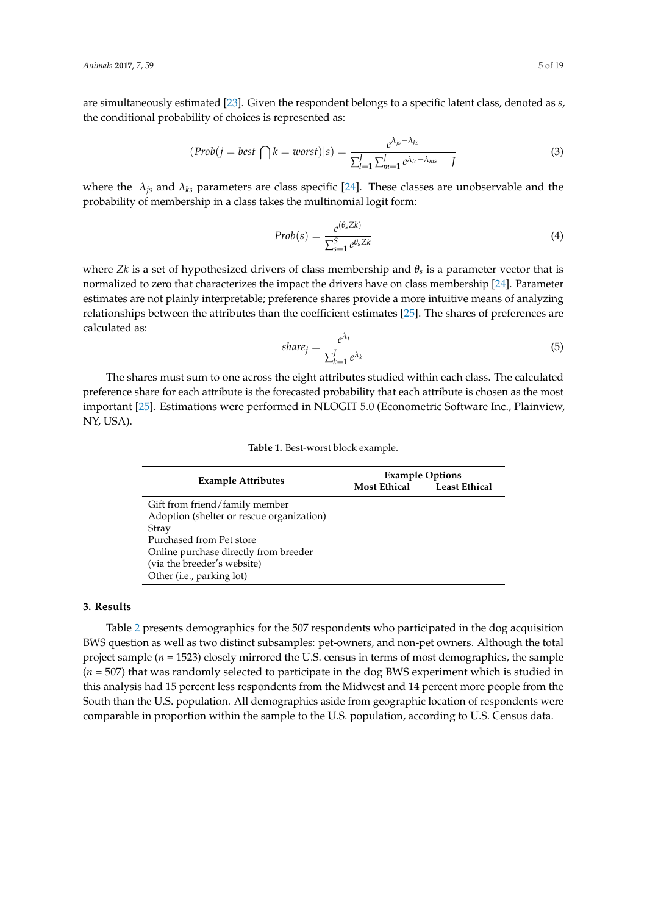are simultaneously estimated [\[23\]](#page-18-1). Given the respondent belongs to a specific latent class, denoted as *s*, the conditional probability of choices is represented as:

$$
(Prob(j=best \bigcap k=worst)|s) = \frac{e^{\lambda_{js}-\lambda_{ks}}}{\sum_{l=1}^{J}\sum_{m=1}^{J}e^{\lambda_{ls}-\lambda_{ms}}-J}
$$
(3)

where the  $\lambda_{is}$  and  $\lambda_{ks}$  parameters are class specific [\[24\]](#page-18-2). These classes are unobservable and the probability of membership in a class takes the multinomial logit form:

$$
Prob(s) = \frac{e^{(\theta_s Z k)}}{\sum_{s=1}^{S} e^{\theta_s Z k}}
$$
\n
$$
\tag{4}
$$

where *Zk* is a set of hypothesized drivers of class membership and *θ<sup>s</sup>* is a parameter vector that is normalized to zero that characterizes the impact the drivers have on class membership [\[24\]](#page-18-2). Parameter estimates are not plainly interpretable; preference shares provide a more intuitive means of analyzing relationships between the attributes than the coefficient estimates [\[25\]](#page-18-3). The shares of preferences are calculated as:

$$
share_j = \frac{e^{\lambda_j}}{\sum_{k=1}^J e^{\lambda_k}}
$$
\n(5)

<span id="page-4-0"></span>The shares must sum to one across the eight attributes studied within each class. The calculated preference share for each attribute is the forecasted probability that each attribute is chosen as the most important [\[25\]](#page-18-3). Estimations were performed in NLOGIT 5.0 (Econometric Software Inc., Plainview, NY, USA).

|  |  |  | <b>Table 1.</b> Best-worst block example. |  |  |  |  |
|--|--|--|-------------------------------------------|--|--|--|--|
|--|--|--|-------------------------------------------|--|--|--|--|

|                                           | <b>Example Options</b> |                      |  |  |  |  |
|-------------------------------------------|------------------------|----------------------|--|--|--|--|
| <b>Example Attributes</b>                 | <b>Most Ethical</b>    | <b>Least Ethical</b> |  |  |  |  |
| Gift from friend/family member            |                        |                      |  |  |  |  |
| Adoption (shelter or rescue organization) |                        |                      |  |  |  |  |
| Stray                                     |                        |                      |  |  |  |  |
| Purchased from Pet store                  |                        |                      |  |  |  |  |
| Online purchase directly from breeder     |                        |                      |  |  |  |  |
| (via the breeder's website)               |                        |                      |  |  |  |  |
| Other (i.e., parking lot)                 |                        |                      |  |  |  |  |

## **3. Results**

Table [2](#page-5-0) presents demographics for the 507 respondents who participated in the dog acquisition BWS question as well as two distinct subsamples: pet-owners, and non-pet owners. Although the total project sample (*n* = 1523) closely mirrored the U.S. census in terms of most demographics, the sample (*n* = 507) that was randomly selected to participate in the dog BWS experiment which is studied in this analysis had 15 percent less respondents from the Midwest and 14 percent more people from the South than the U.S. population. All demographics aside from geographic location of respondents were comparable in proportion within the sample to the U.S. population, according to U.S. Census data.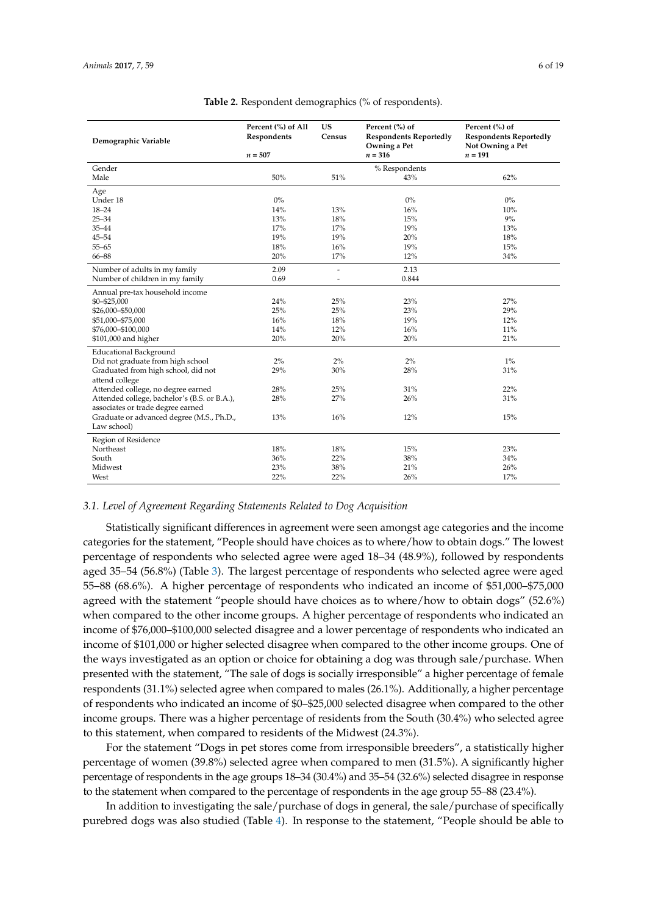<span id="page-5-0"></span>

| Demographic Variable                                  | Percent (%) of All<br>Respondents<br>$n = 507$ | <b>US</b><br>Census | Percent (%) of<br><b>Respondents Reportedly</b><br>Owning a Pet<br>$n = 316$ | Percent (%) of<br><b>Respondents Reportedly</b><br>Not Owning a Pet<br>$n = 191$ |
|-------------------------------------------------------|------------------------------------------------|---------------------|------------------------------------------------------------------------------|----------------------------------------------------------------------------------|
| Gender                                                |                                                |                     | % Respondents                                                                |                                                                                  |
| Male                                                  | 50%                                            | 51%                 | 43%                                                                          | 62%                                                                              |
|                                                       |                                                |                     |                                                                              |                                                                                  |
| Age<br>Under 18                                       | $0\%$                                          |                     | $0\%$                                                                        | $0\%$                                                                            |
| $18 - 24$                                             | 14%                                            | 13%                 | 16%                                                                          | 10%                                                                              |
| $25 - 34$                                             | 13%                                            | 18%                 | 15%                                                                          | 9%                                                                               |
| $35 - 44$                                             | 17%                                            | 17%                 | 19%                                                                          | 13%                                                                              |
| $45 - 54$                                             | 19%                                            | 19%                 | 20%                                                                          | 18%                                                                              |
| $55 - 65$                                             | 18%                                            | 16%                 | 19%                                                                          | 15%                                                                              |
| 66-88                                                 | 20%                                            | 17%                 | 12%                                                                          | 34%                                                                              |
| Number of adults in my family                         | 2.09                                           | $\overline{a}$      | 2.13                                                                         |                                                                                  |
| Number of children in my family                       | 0.69                                           | $\overline{a}$      | 0.844                                                                        |                                                                                  |
| Annual pre-tax household income                       |                                                |                     |                                                                              |                                                                                  |
| \$0-\$25,000                                          | 24%                                            | 25%                 | 23%                                                                          | 27%                                                                              |
| \$26,000-\$50,000                                     | 25%                                            | 25%                 | 23%                                                                          | 29%                                                                              |
| \$51,000-\$75,000                                     | 16%                                            | 18%                 | 19%                                                                          | 12%                                                                              |
| \$76,000-\$100,000                                    | 14%                                            | 12%                 | 16%                                                                          | 11%                                                                              |
| \$101,000 and higher                                  | 20%                                            | 20%                 | 20%                                                                          | 21%                                                                              |
| <b>Educational Background</b>                         |                                                |                     |                                                                              |                                                                                  |
| Did not graduate from high school                     | $2\%$                                          | 2%                  | $2\%$                                                                        | $1\%$                                                                            |
| Graduated from high school, did not<br>attend college | 29%                                            | 30%                 | 28%                                                                          | 31%                                                                              |
| Attended college, no degree earned                    | 28%                                            | 25%                 | 31%                                                                          | 22%                                                                              |
| Attended college, bachelor's (B.S. or B.A.),          | 28%                                            | 27%                 | 26%                                                                          | 31%                                                                              |
| associates or trade degree earned                     |                                                |                     |                                                                              |                                                                                  |
| Graduate or advanced degree (M.S., Ph.D.,             | 13%                                            | 16%                 | 12%                                                                          | 15%                                                                              |
| Law school)                                           |                                                |                     |                                                                              |                                                                                  |
| Region of Residence                                   |                                                |                     |                                                                              |                                                                                  |
| Northeast                                             | 18%                                            | 18%                 | 15%                                                                          | 23%                                                                              |
| South                                                 | 36%                                            | 22%                 | 38%                                                                          | 34%                                                                              |
| Midwest                                               | 23%                                            | 38%                 | 21%                                                                          | 26%                                                                              |
| West                                                  | 22%                                            | 22%                 | 26%                                                                          | 17%                                                                              |

#### **Table 2.** Respondent demographics (% of respondents).

#### *3.1. Level of Agreement Regarding Statements Related to Dog Acquisition*

Statistically significant differences in agreement were seen amongst age categories and the income categories for the statement, "People should have choices as to where/how to obtain dogs." The lowest percentage of respondents who selected agree were aged 18–34 (48.9%), followed by respondents aged 35–54 (56.8%) (Table [3\)](#page-7-0). The largest percentage of respondents who selected agree were aged 55–88 (68.6%). A higher percentage of respondents who indicated an income of \$51,000–\$75,000 agreed with the statement "people should have choices as to where/how to obtain dogs" (52.6%) when compared to the other income groups. A higher percentage of respondents who indicated an income of \$76,000–\$100,000 selected disagree and a lower percentage of respondents who indicated an income of \$101,000 or higher selected disagree when compared to the other income groups. One of the ways investigated as an option or choice for obtaining a dog was through sale/purchase. When presented with the statement, "The sale of dogs is socially irresponsible" a higher percentage of female respondents (31.1%) selected agree when compared to males (26.1%). Additionally, a higher percentage of respondents who indicated an income of \$0–\$25,000 selected disagree when compared to the other income groups. There was a higher percentage of residents from the South (30.4%) who selected agree to this statement, when compared to residents of the Midwest (24.3%).

For the statement "Dogs in pet stores come from irresponsible breeders", a statistically higher percentage of women (39.8%) selected agree when compared to men (31.5%). A significantly higher percentage of respondents in the age groups 18–34 (30.4%) and 35–54 (32.6%) selected disagree in response to the statement when compared to the percentage of respondents in the age group 55–88 (23.4%).

In addition to investigating the sale/purchase of dogs in general, the sale/purchase of specifically purebred dogs was also studied (Table [4\)](#page-8-0). In response to the statement, "People should be able to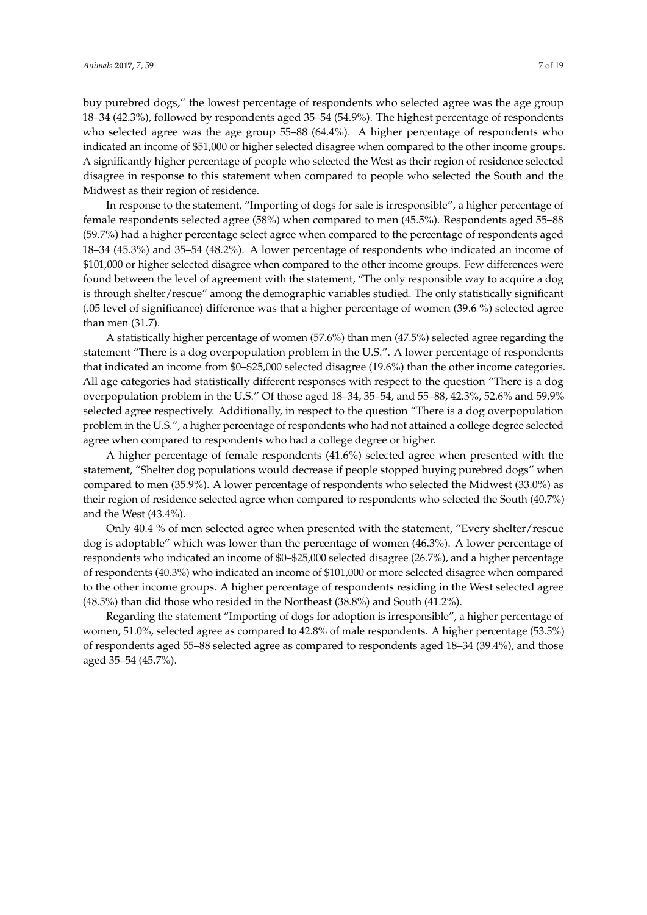buy purebred dogs," the lowest percentage of respondents who selected agree was the age group 18–34 (42.3%), followed by respondents aged 35–54 (54.9%). The highest percentage of respondents who selected agree was the age group 55–88 (64.4%). A higher percentage of respondents who indicated an income of \$51,000 or higher selected disagree when compared to the other income groups. A significantly higher percentage of people who selected the West as their region of residence selected disagree in response to this statement when compared to people who selected the South and the Midwest as their region of residence.

In response to the statement, "Importing of dogs for sale is irresponsible", a higher percentage of female respondents selected agree (58%) when compared to men (45.5%). Respondents aged 55–88 (59.7%) had a higher percentage select agree when compared to the percentage of respondents aged 18–34 (45.3%) and 35–54 (48.2%). A lower percentage of respondents who indicated an income of \$101,000 or higher selected disagree when compared to the other income groups. Few differences were found between the level of agreement with the statement, "The only responsible way to acquire a dog is through shelter/rescue" among the demographic variables studied. The only statistically significant (.05 level of significance) difference was that a higher percentage of women (39.6 %) selected agree than men (31.7).

A statistically higher percentage of women (57.6%) than men (47.5%) selected agree regarding the statement "There is a dog overpopulation problem in the U.S.". A lower percentage of respondents that indicated an income from \$0–\$25,000 selected disagree (19.6%) than the other income categories. All age categories had statistically different responses with respect to the question "There is a dog overpopulation problem in the U.S." Of those aged 18–34, 35–54, and 55–88, 42.3%, 52.6% and 59.9% selected agree respectively. Additionally, in respect to the question "There is a dog overpopulation problem in the U.S.", a higher percentage of respondents who had not attained a college degree selected agree when compared to respondents who had a college degree or higher.

A higher percentage of female respondents (41.6%) selected agree when presented with the statement, "Shelter dog populations would decrease if people stopped buying purebred dogs" when compared to men (35.9%). A lower percentage of respondents who selected the Midwest (33.0%) as their region of residence selected agree when compared to respondents who selected the South (40.7%) and the West (43.4%).

Only 40.4 % of men selected agree when presented with the statement, "Every shelter/rescue dog is adoptable" which was lower than the percentage of women (46.3%). A lower percentage of respondents who indicated an income of \$0–\$25,000 selected disagree (26.7%), and a higher percentage of respondents (40.3%) who indicated an income of \$101,000 or more selected disagree when compared to the other income groups. A higher percentage of respondents residing in the West selected agree (48.5%) than did those who resided in the Northeast (38.8%) and South (41.2%).

Regarding the statement "Importing of dogs for adoption is irresponsible", a higher percentage of women, 51.0%, selected agree as compared to 42.8% of male respondents. A higher percentage (53.5%) of respondents aged 55–88 selected agree as compared to respondents aged 18–34 (39.4%), and those aged 35–54 (45.7%).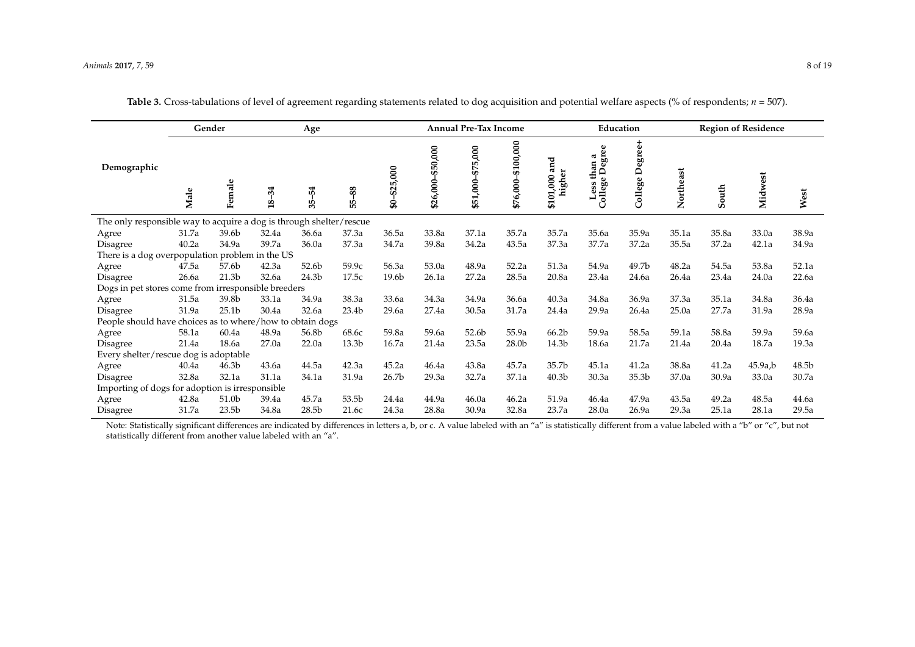|                                                                     |       | Gender<br>Age     |                        |                   |                | <b>Annual Pre-Tax Income</b> |                       |                                     |                        |                            | Education                                  |                 |           | <b>Region of Residence</b> |         |       |
|---------------------------------------------------------------------|-------|-------------------|------------------------|-------------------|----------------|------------------------------|-----------------------|-------------------------------------|------------------------|----------------------------|--------------------------------------------|-----------------|-----------|----------------------------|---------|-------|
| Demographic                                                         | Male  | Female            | $-34$<br>$\frac{8}{1}$ | 54<br>35          | 88<br>цb<br>LÓ | \$25,000<br>\$               | \$50,000<br>\$26,000- | 5,000<br>$\mathfrak{F}$<br>\$51,000 | \$100,000<br>\$76,000- | and<br>higher<br>\$101,000 | than a<br>e Degree<br>€<br>Less<br>College | College Degree+ | Northeast | South                      | Midwest | West  |
| The only responsible way to acquire a dog is through shelter/rescue |       |                   |                        |                   |                |                              |                       |                                     |                        |                            |                                            |                 |           |                            |         |       |
| Agree                                                               | 31.7a | 39.6b             | 32.4a                  | 36.6a             | 37.3a          | 36.5a                        | 33.8a                 | 37.1a                               | 35.7a                  | 35.7a                      | 35.6a                                      | 35.9a           | 35.1a     | 35.8a                      | 33.0a   | 38.9a |
| Disagree                                                            | 40.2a | 34.9a             | 39.7a                  | 36.0a             | 37.3a          | 34.7a                        | 39.8a                 | 34.2a                               | 43.5a                  | 37.3a                      | 37.7a                                      | 37.2a           | 35.5a     | 37.2a                      | 42.1a   | 34.9a |
| There is a dog overpopulation problem in the US                     |       |                   |                        |                   |                |                              |                       |                                     |                        |                            |                                            |                 |           |                            |         |       |
| Agree                                                               | 47.5a | 57.6b             | 42.3a                  | 52.6b             | 59.9c          | 56.3a                        | 53.0a                 | 48.9a                               | 52.2a                  | 51.3a                      | 54.9a                                      | 49.7b           | 48.2a     | 54.5a                      | 53.8a   | 52.1a |
| Disagree                                                            | 26.6a | 21.3 <sub>b</sub> | 32.6a                  | 24.3 <sub>b</sub> | 17.5c          | 19.6b                        | 26.1a                 | 27.2a                               | 28.5a                  | 20.8a                      | 23.4a                                      | 24.6a           | 26.4a     | 23.4a                      | 24.0a   | 22.6a |
| Dogs in pet stores come from irresponsible breeders                 |       |                   |                        |                   |                |                              |                       |                                     |                        |                            |                                            |                 |           |                            |         |       |
| Agree                                                               | 31.5a | 39.8b             | 33.1a                  | 34.9a             | 38.3a          | 33.6a                        | 34.3a                 | 34.9a                               | 36.6a                  | 40.3a                      | 34.8a                                      | 36.9a           | 37.3a     | 35.1a                      | 34.8a   | 36.4a |
| Disagree                                                            | 31.9a | 25.1 <sub>b</sub> | 30.4a                  | 32.6a             | 23.4b          | 29.6a                        | 27.4a                 | 30.5a                               | 31.7a                  | 24.4a                      | 29.9a                                      | 26.4a           | 25.0a     | 27.7a                      | 31.9a   | 28.9a |
| People should have choices as to where/how to obtain dogs           |       |                   |                        |                   |                |                              |                       |                                     |                        |                            |                                            |                 |           |                            |         |       |
| Agree                                                               | 58.1a | 60.4a             | 48.9a                  | 56.8b             | 68.6c          | 59.8a                        | 59.6a                 | 52.6b                               | 55.9a                  | 66.2b                      | 59.9a                                      | 58.5a           | 59.1a     | 58.8a                      | 59.9a   | 59.6a |
| Disagree                                                            | 21.4a | 18.6a             | 27.0a                  | 22.0a             | 13.3b          | 16.7a                        | 21.4a                 | 23.5a                               | 28.0b                  | 14.3b                      | 18.6a                                      | 21.7a           | 21.4a     | 20.4a                      | 18.7a   | 19.3a |
| Every shelter/rescue dog is adoptable                               |       |                   |                        |                   |                |                              |                       |                                     |                        |                            |                                            |                 |           |                            |         |       |
| Agree                                                               | 40.4a | 46.3 <sub>b</sub> | 43.6a                  | 44.5a             | 42.3a          | 45.2a                        | 46.4a                 | 43.8a                               | 45.7a                  | 35.7b                      | 45.1a                                      | 41.2a           | 38.8a     | 41.2a                      | 45.9a,b | 48.5b |
| Disagree                                                            | 32.8a | 32.1a             | 31.1a                  | 34.1a             | 31.9a          | 26.7 <sub>b</sub>            | 29.3a                 | 32.7a                               | 37.1a                  | 40.3 <sub>b</sub>          | 30.3a                                      | 35.3b           | 37.0a     | 30.9a                      | 33.0a   | 30.7a |
| Importing of dogs for adoption is irresponsible                     |       |                   |                        |                   |                |                              |                       |                                     |                        |                            |                                            |                 |           |                            |         |       |
| Agree                                                               | 42.8a | 51.0b             | 39.4a                  | 45.7a             | 53.5b          | 24.4a                        | 44.9a                 | 46.0a                               | 46.2a                  | 51.9a                      | 46.4a                                      | 47.9a           | 43.5a     | 49.2a                      | 48.5a   | 44.6a |
| Disagree                                                            | 31.7a | 23.5 <sub>b</sub> | 34.8a                  | 28.5b             | 21.6c          | 24.3a                        | 28.8a                 | 30.9a                               | 32.8a                  | 23.7a                      | 28.0a                                      | 26.9a           | 29.3a     | 25.1a                      | 28.1a   | 29.5a |

**Table 3.** Cross-tabulations of level of agreement regarding statements related to dog acquisition and potential welfare aspects (% of respondents;  $n = 507$ ).

<span id="page-7-0"></span>Note: Statistically significant differences are indicated by differences in letters a, b, or c. A value labeled with an "a" is statistically different from a value labeled with a "b" or "c", but not statistically different from another value labeled with an "a".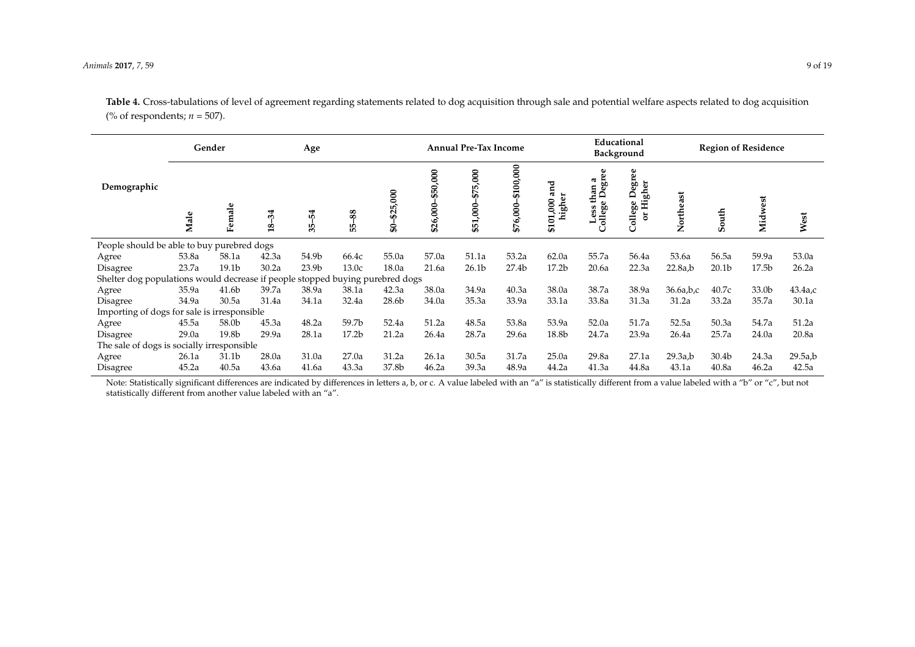#### *Animals* **2017**, *7*, 59 9 of 19

**Table 4.** Cross-tabulations of level of agreement regarding statements related to dog acquisition through sale and potential welfare aspects related to dog acquisition (% of respondents; *n* = 507).

|                                                                               | Gender |                   | Age                  |                   |                   | <b>Annual Pre-Tax Income</b> |                      |                         |                          |                          | Educational<br>Background                               |                               | <b>Region of Residence</b> |                   |                   |            |
|-------------------------------------------------------------------------------|--------|-------------------|----------------------|-------------------|-------------------|------------------------------|----------------------|-------------------------|--------------------------|--------------------------|---------------------------------------------------------|-------------------------------|----------------------------|-------------------|-------------------|------------|
| Demographic                                                                   | Male   | Female            | 34<br>$\frac{18}{3}$ | 54<br>చ్గ         | 88<br>БŚ          | \$25,000<br>\$               | \$50,000<br>\$26,000 | 5,000<br>57<br>\$51,000 | \$100,000<br>6,000<br>55 | ឪ<br>æ<br>\$101,000<br>묲 | မ္မ<br>a<br>ā,<br>na<br>Deg<br>≞<br>Less<br>ollege<br>Ü | Degree<br>or Higher<br>ollege | Northeast                  | South             | Midwest           | West       |
| People should be able to buy purebred dogs                                    |        |                   |                      |                   |                   |                              |                      |                         |                          |                          |                                                         |                               |                            |                   |                   |            |
| Agree                                                                         | 53.8a  | 58.1a             | 42.3a                | 54.9b             | 66.4c             | 55.0a                        | 57.0a                | 51.1a                   | 53.2a                    | 62.0a                    | 55.7a                                                   | 56.4a                         | 53.6a                      | 56.5a             | 59.9a             | 53.0a      |
| Disagree                                                                      | 23.7a  | 19.1 <sub>b</sub> | 30.2a                | 23.9 <sub>b</sub> | 13.0c             | 18.0a                        | 21.6a                | 26.1 <sub>b</sub>       | 27.4 <sub>b</sub>        | 17.2 <sub>b</sub>        | 20.6a                                                   | 22.3a                         | 22.8a,b                    | 20.1 <sub>b</sub> | 17.5 <sub>b</sub> | 26.2a      |
| Shelter dog populations would decrease if people stopped buying purebred dogs |        |                   |                      |                   |                   |                              |                      |                         |                          |                          |                                                         |                               |                            |                   |                   |            |
| Agree                                                                         | 35.9a  | 41.6b             | 39.7a                | 38.9a             | 38.1a             | 42.3a                        | 38.0a                | 34.9a                   | 40.3a                    | 38.0a                    | 38.7a                                                   | 38.9a                         | 36.6a,b,c                  | 40.7c             | 33.0b             | $43.4a$ ,c |
| Disagree                                                                      | 34.9a  | 30.5a             | 31.4a                | 34.1a             | 32.4a             | 28.6b                        | 34.0a                | 35.3a                   | 33.9a                    | 33.1a                    | 33.8a                                                   | 31.3a                         | 31.2a                      | 33.2a             | 35.7a             | 30.1a      |
| Importing of dogs for sale is irresponsible                                   |        |                   |                      |                   |                   |                              |                      |                         |                          |                          |                                                         |                               |                            |                   |                   |            |
| Agree                                                                         | 45.5a  | 58.0b             | 45.3a                | 48.2a             | 59.7b             | 52.4a                        | 51.2a                | 48.5a                   | 53.8a                    | 53.9a                    | 52.0a                                                   | 51.7a                         | 52.5a                      | 50.3a             | 54.7a             | 51.2a      |
| Disagree                                                                      | 29.0a  | 19.8b             | 29.9a                | 28.1a             | 17.2 <sub>b</sub> | 21.2a                        | 26.4a                | 28.7a                   | 29.6a                    | 18.8b                    | 24.7a                                                   | 23.9a                         | 26.4a                      | 25.7a             | 24.0a             | 20.8a      |
| The sale of dogs is socially irresponsible                                    |        |                   |                      |                   |                   |                              |                      |                         |                          |                          |                                                         |                               |                            |                   |                   |            |
| Agree                                                                         | 26.1a  | 31.1b             | 28.0a                | 31.0a             | 27.0a             | 31.2a                        | 26.1a                | 30.5a                   | 31.7a                    | 25.0a                    | 29.8a                                                   | 27.1a                         | 29.3a,b                    | 30.4b             | 24.3a             | 29.5a,b    |
| Disagree                                                                      | 45.2a  | 40.5a             | 43.6a                | 41.6a             | 43.3a             | 37.8b                        | 46.2a                | 39.3a                   | 48.9a                    | 44.2a                    | 41.3a                                                   | 44.8a                         | 43.1a                      | 40.8a             | 46.2a             | 42.5a      |

<span id="page-8-0"></span>Note: Statistically significant differences are indicated by differences in letters a, b, or c. A value labeled with an "a" is statistically different from a value labeled with a "b" or "c", but not statistically different from another value labeled with an "a".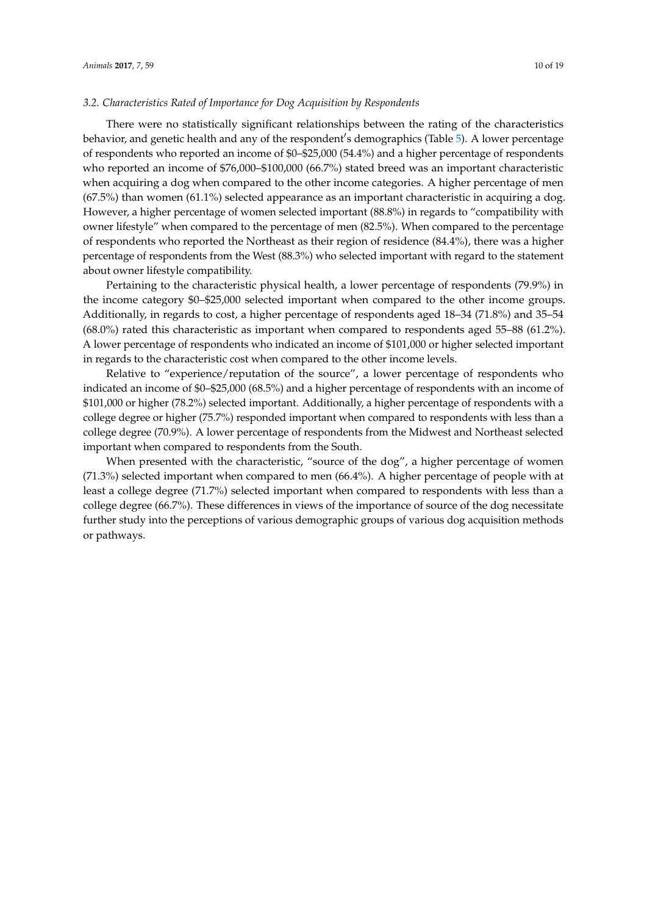There were no statistically significant relationships between the rating of the characteristics behavior, and genetic health and any of the respondent's demographics (Table [5\)](#page-10-0). A lower percentage of respondents who reported an income of \$0–\$25,000 (54.4%) and a higher percentage of respondents who reported an income of \$76,000–\$100,000 (66.7%) stated breed was an important characteristic when acquiring a dog when compared to the other income categories. A higher percentage of men (67.5%) than women (61.1%) selected appearance as an important characteristic in acquiring a dog. However, a higher percentage of women selected important (88.8%) in regards to "compatibility with owner lifestyle" when compared to the percentage of men (82.5%). When compared to the percentage of respondents who reported the Northeast as their region of residence (84.4%), there was a higher percentage of respondents from the West (88.3%) who selected important with regard to the statement about owner lifestyle compatibility.

*3.2. Characteristics Rated of Importance for Dog Acquisition by Respondents*

Pertaining to the characteristic physical health, a lower percentage of respondents (79.9%) in the income category \$0–\$25,000 selected important when compared to the other income groups. Additionally, in regards to cost, a higher percentage of respondents aged 18–34 (71.8%) and 35–54 (68.0%) rated this characteristic as important when compared to respondents aged 55–88 (61.2%). A lower percentage of respondents who indicated an income of \$101,000 or higher selected important in regards to the characteristic cost when compared to the other income levels.

Relative to "experience/reputation of the source", a lower percentage of respondents who indicated an income of \$0–\$25,000 (68.5%) and a higher percentage of respondents with an income of \$101,000 or higher (78.2%) selected important. Additionally, a higher percentage of respondents with a college degree or higher (75.7%) responded important when compared to respondents with less than a college degree (70.9%). A lower percentage of respondents from the Midwest and Northeast selected important when compared to respondents from the South.

When presented with the characteristic, "source of the dog", a higher percentage of women (71.3%) selected important when compared to men (66.4%). A higher percentage of people with at least a college degree (71.7%) selected important when compared to respondents with less than a college degree (66.7%). These differences in views of the importance of source of the dog necessitate further study into the perceptions of various demographic groups of various dog acquisition methods or pathways.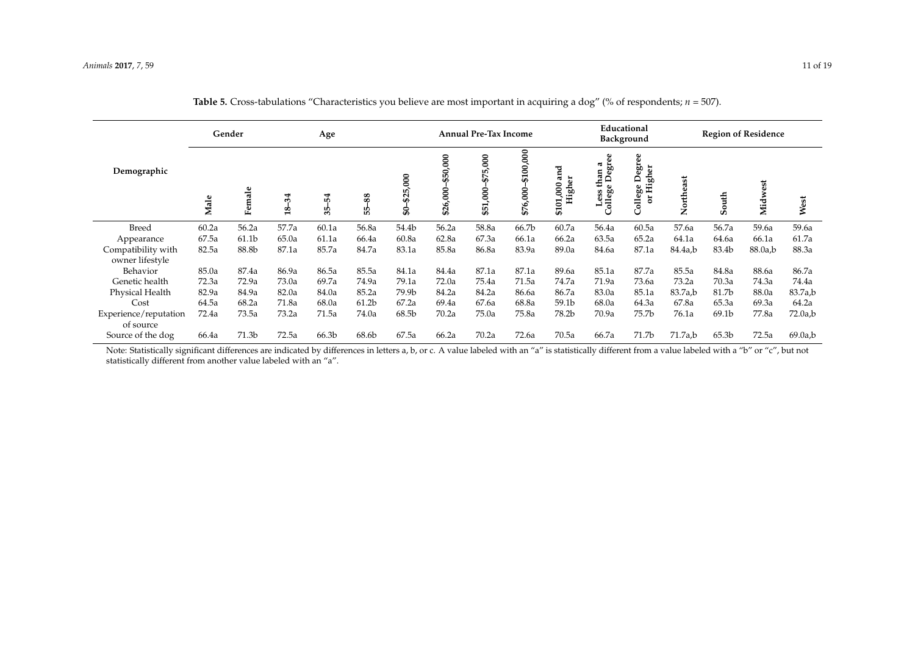|                                       | Gender<br>Age |        |                          |          | <b>Annual Pre-Tax Income</b> |                 |                      |                         |                        |                               | Educational<br>Background                                          |                                                 |           | <b>Region of Residence</b> |         |         |
|---------------------------------------|---------------|--------|--------------------------|----------|------------------------------|-----------------|----------------------|-------------------------|------------------------|-------------------------------|--------------------------------------------------------------------|-------------------------------------------------|-----------|----------------------------|---------|---------|
| Demographic                           | Male          | Female | 34<br>$\mathbf{\hat{a}}$ | 54<br>35 | 88<br>۳б                     | \$25,000<br>ន្ល | \$50,000<br>\$26,000 | 5,000<br>57<br>\$51,000 | \$100,000<br>\$76,000- | ರ<br>ã<br>Higher<br>\$101,000 | egree<br>ಡ<br>$\lim_{\text{Dec}}$<br>Ξ<br>College<br>$\bf{s}$<br>ω | egree<br>Higher<br>$\mathbf{a}$<br>College<br>ă | Northeast | South                      | Midwest | West    |
| <b>Breed</b>                          | 60.2a         | 56.2a  | 57.7a                    | 60.1a    | 56.8a                        | 54.4b           | 56.2a                | 58.8a                   | 66.7b                  | 60.7a                         | 56.4a                                                              | 60.5a                                           | 57.6a     | 56.7a                      | 59.6a   | 59.6a   |
| Appearance                            | 67.5a         | 61.1b  | 65.0a                    | 61.1a    | 66.4a                        | 60.8a           | 62.8a                | 67.3a                   | 66.1a                  | 66.2a                         | 63.5a                                                              | 65.2a                                           | 64.1a     | 64.6a                      | 66.1a   | 61.7a   |
| Compatibility with<br>owner lifestyle | 82.5a         | 88.8b  | 87.1a                    | 85.7a    | 84.7a                        | 83.1a           | 85.8a                | 86.8a                   | 83.9a                  | 89.0a                         | 84.6a                                                              | 87.1a                                           | 84.4a,b   | 83.4b                      | 88.0a,b | 88.3a   |
| Behavior                              | 85.0a         | 87.4a  | 86.9a                    | 86.5a    | 85.5a                        | 84.1a           | 84.4a                | 87.1a                   | 87.1a                  | 89.6a                         | 85.1a                                                              | 87.7a                                           | 85.5a     | 84.8a                      | 88.6a   | 86.7a   |
| Genetic health                        | 72.3a         | 72.9a  | 73.0a                    | 69.7a    | 74.9a                        | 79.1a           | 72.0a                | 75.4a                   | 71.5a                  | 74.7a                         | 71.9a                                                              | 73.6a                                           | 73.2a     | 70.3a                      | 74.3a   | 74.4a   |
| Physical Health                       | 82.9a         | 84.9a  | 82.0a                    | 84.0a    | 85.2a                        | 79.9b           | 84.2a                | 84.2a                   | 86.6a                  | 86.7a                         | 83.0a                                                              | 85.1a                                           | 83.7a,b   | 81.7b                      | 88.0a   | 83.7a,b |
| Cost                                  | 64.5a         | 68.2a  | 71.8a                    | 68.0a    | 61.2 <sub>b</sub>            | 67.2a           | 69.4a                | 67.6a                   | 68.8a                  | 59.1b                         | 68.0a                                                              | 64.3a                                           | 67.8a     | 65.3a                      | 69.3a   | 64.2a   |
| Experience/reputation<br>of source    | 72.4a         | 73.5a  | 73.2a                    | 71.5a    | 74.0a                        | 68.5b           | 70.2a                | 75.0a                   | 75.8a                  | 78.2b                         | 70.9a                                                              | 75.7b                                           | 76.1a     | 69.1b                      | 77.8a   | 72.0a,b |
| Source of the dog                     | 66.4a         | 71.3b  | 72.5a                    | 66.3b    | 68.6b                        | 67.5a           | 66.2a                | 70.2a                   | 72.6a                  | 70.5a                         | 66.7a                                                              | 71.7 <sub>b</sub>                               | 71.7a,b   | 65.3 <sub>b</sub>          | 72.5a   | 69.0a,b |

| <b>Table 5.</b> Cross-tabulations "Characteristics you believe are most important in acquiring a dog" (% of respondents; $n = 507$ ). |
|---------------------------------------------------------------------------------------------------------------------------------------|
|---------------------------------------------------------------------------------------------------------------------------------------|

<span id="page-10-0"></span>Note: Statistically significant differences are indicated by differences in letters a, b, or c. A value labeled with an "a" is statistically different from a value labeled with a "b" or "c", but not statistically different from another value labeled with an "a".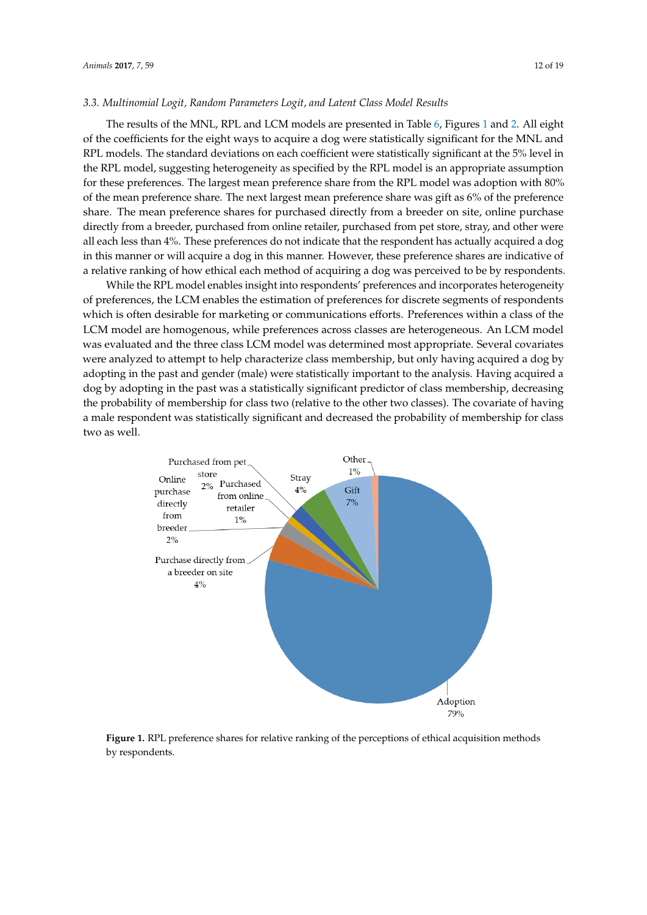# *3.3. Multinomial Logit, Random Parameters Logit, and Latent Class Model Results 3.3. Multinomial Logit, Random Parameters Logit, and Latent Class Model Results*

The results of the MNL, RPL and LCM models are presented in Table [6,](#page-12-0) Figures [1](#page-11-0) and [2.](#page-13-0) All eight of the coefficients for the eight ways to acquire a dog were statistically significant for the MNL and  $R$ RPL models. The standard deviations on each coefficient were statistically significant at the 5% level in the RPL model in the RPL model in the RPL model in the RPL model in the RPL model in the RPL model in the RPL model the RPL model, suggesting heterogeneity as specified by the RPL model is an appropriate assumption for the RPL for these preferences. The largest mean preference share from the RPL model was adoption with 80% of the mean preference share. The next largest mean preference share was gift as 6% of the preference share. The mean preference shares for purchased directly from a breeder on site, online purchase directly from a breeder, purchased from online retailer, purchased from pet store, stray, and other were all each less than 4%. These preferences do not indicate that the respondent has actually acquired a dog in thi in this manner or will acquire a dog in this manner. However, these preference shares are indicative of acquiring and these preference shares are indicative of acquiring and the detection of action of action of action of a a relative ranking of how ethical each method of acquiring a dog was perceived to be by respondents. dog was perceived to be by respondents.  $T$   $\frac{1}{2}$   $\frac{1}{2}$   $\frac{1}{2}$   $\frac{1}{2}$   $\frac{1}{2}$   $\frac{1}{2}$   $\frac{1}{2}$   $\frac{1}{2}$   $\frac{1}{2}$   $\frac{1}{2}$   $\frac{1}{2}$   $\frac{1}{2}$   $\frac{1}{2}$   $\frac{1}{2}$   $\frac{1}{2}$   $\frac{1}{2}$   $\frac{1}{2}$   $\frac{1}{2}$   $\frac{1}{2}$   $\frac{1}{2}$   $\frac{1}{2}$   $\frac{1}{2$ All eight of the cours of the entry for the eight models are presented in the  $\sigma_i$  rightes for the eight

While the RPL model enables insight into respondents' preferences and incorporates heterogeneity of preferences, the LCM enables the estimation of preferences for discrete segments of respondents which is often desirable for marketing or communications efforts. Preferences within a class of the<br>respondents which is often desirable for marketing or communications efforts. Preferences within a class of the LCM model are homogenous, while preferences across classes are heterogeneous. An LCM model was evaluated and the three class LCM model was determined most appropriate. Several covariates LCM model was evaluated and the three class LCM model was determined most appropriate. Several were analyzed to attempt to help characterize class membership, but only having acquired a dog by adopting in the past and gender (male) were statistically important to the analysis. Having acquired a dog by adopting in the past was a statistically significant predictor of class membership, decreasing the probability of membership for class two (relative to the other two classes). The covariate of having a male respondent was statistically significant and decreased the probability of membership for class two as well.

<span id="page-11-0"></span>

**Figure 1.** RPL preference shares for relative ranking of the perceptions of ethical acquisition methods **Figure 1.** RPL preference shares for relative ranking of the perceptions of ethical acquisition methods by respondents. by respondents.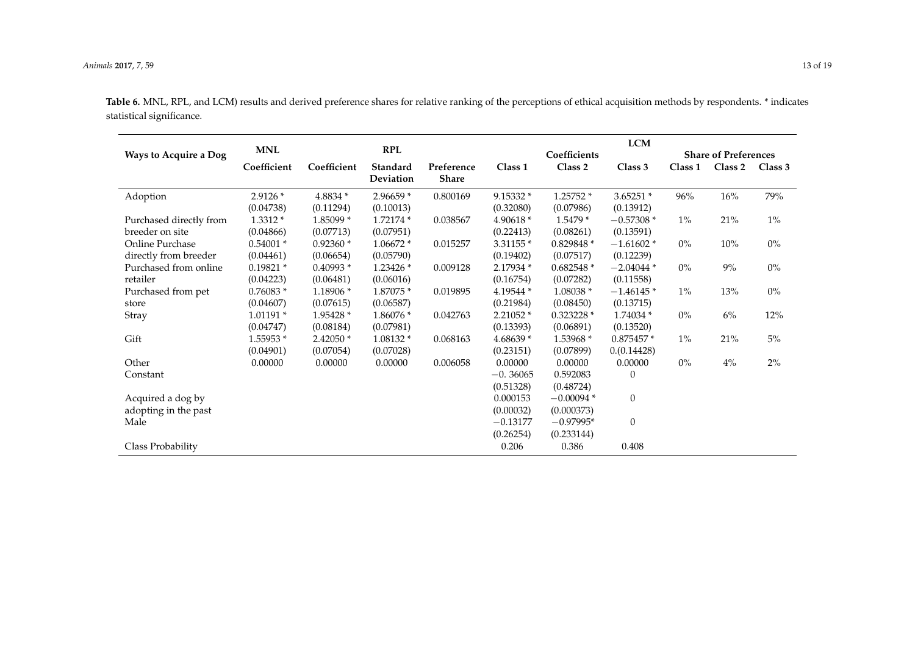<span id="page-12-0"></span>

|                         |             |             |            |              |            |              | <b>LCM</b>   |         |                             |         |
|-------------------------|-------------|-------------|------------|--------------|------------|--------------|--------------|---------|-----------------------------|---------|
| Ways to Acquire a Dog   | <b>MNL</b>  |             | <b>RPL</b> |              |            | Coefficients |              |         | <b>Share of Preferences</b> |         |
|                         | Coefficient | Coefficient | Standard   | Preference   | Class 1    | Class 2      | Class 3      | Class 1 | Class 2                     | Class 3 |
|                         |             |             | Deviation  | <b>Share</b> |            |              |              |         |                             |         |
| Adoption                | $2.9126*$   | $4.8834*$   | 2.96659 *  | 0.800169     | 9.15332 *  | 1.25752 *    | $3.65251*$   | 96%     | 16%                         | 79%     |
|                         | (0.04738)   | (0.11294)   | (0.10013)  |              | (0.32080)  | (0.07986)    | (0.13912)    |         |                             |         |
| Purchased directly from | $1.3312*$   | 1.85099 *   | 1.72174 *  | 0.038567     | 4.90618 *  | $1.5479*$    | $-0.57308*$  | $1\%$   | $21\%$                      | $1\%$   |
| breeder on site         | (0.04866)   | (0.07713)   | (0.07951)  |              | (0.22413)  | (0.08261)    | (0.13591)    |         |                             |         |
| Online Purchase         | $0.54001*$  | $0.92360*$  | 1.06672 *  | 0.015257     | $3.31155*$ | 0.829848 *   | $-1.61602*$  | $0\%$   | $10\%$                      | $0\%$   |
| directly from breeder   | (0.04461)   | (0.06654)   | (0.05790)  |              | (0.19402)  | (0.07517)    | (0.12239)    |         |                             |         |
| Purchased from online   | $0.19821*$  | $0.40993*$  | $1.23426*$ | 0.009128     | 2.17934 *  | $0.682548*$  | $-2.04044*$  | $0\%$   | $9\%$                       | $0\%$   |
| retailer                | (0.04223)   | (0.06481)   | (0.06016)  |              | (0.16754)  | (0.07282)    | (0.11558)    |         |                             |         |
| Purchased from pet      | $0.76083*$  | 1.18906 *   | 1.87075 *  | 0.019895     | 4.19544 *  | $1.08038*$   | $-1.46145*$  | $1\%$   | 13%                         | $0\%$   |
| store                   | (0.04607)   | (0.07615)   | (0.06587)  |              | (0.21984)  | (0.08450)    | (0.13715)    |         |                             |         |
| Stray                   | $1.01191*$  | 1.95428 *   | 1.86076 *  | 0.042763     | 2.21052 *  | $0.323228*$  | 1.74034 *    | $0\%$   | $6\%$                       | $12\%$  |
|                         | (0.04747)   | (0.08184)   | (0.07981)  |              | (0.13393)  | (0.06891)    | (0.13520)    |         |                             |         |
| Gift                    | 1.55953 *   | $2.42050*$  | $1.08132*$ | 0.068163     | 4.68639 *  | 1.53968 *    | $0.875457*$  | $1\%$   | $21\%$                      | 5%      |
|                         | (0.04901)   | (0.07054)   | (0.07028)  |              | (0.23151)  | (0.07899)    | 0. (0.14428) |         |                             |         |
| Other                   | 0.00000     | 0.00000     | 0.00000    | 0.006058     | 0.00000    | 0.00000      | 0.00000      | $0\%$   | $4\%$                       | $2\%$   |
| Constant                |             |             |            |              | $-0.36065$ | 0.592083     | $\Omega$     |         |                             |         |
|                         |             |             |            |              | (0.51328)  | (0.48724)    |              |         |                             |         |
| Acquired a dog by       |             |             |            |              | 0.000153   | $-0.00094*$  | $\mathbf{0}$ |         |                             |         |
| adopting in the past    |             |             |            |              | (0.00032)  | (0.000373)   |              |         |                             |         |
| Male                    |             |             |            |              | $-0.13177$ | $-0.97995*$  | $\mathbf{0}$ |         |                             |         |
|                         |             |             |            |              | (0.26254)  | (0.233144)   |              |         |                             |         |
| Class Probability       |             |             |            |              | 0.206      | 0.386        | 0.408        |         |                             |         |

**Table 6.** MNL, RPL, and LCM) results and derived preference shares for relative ranking of the perceptions of ethical acquisition methods by respondents. \* indicates statistical significance.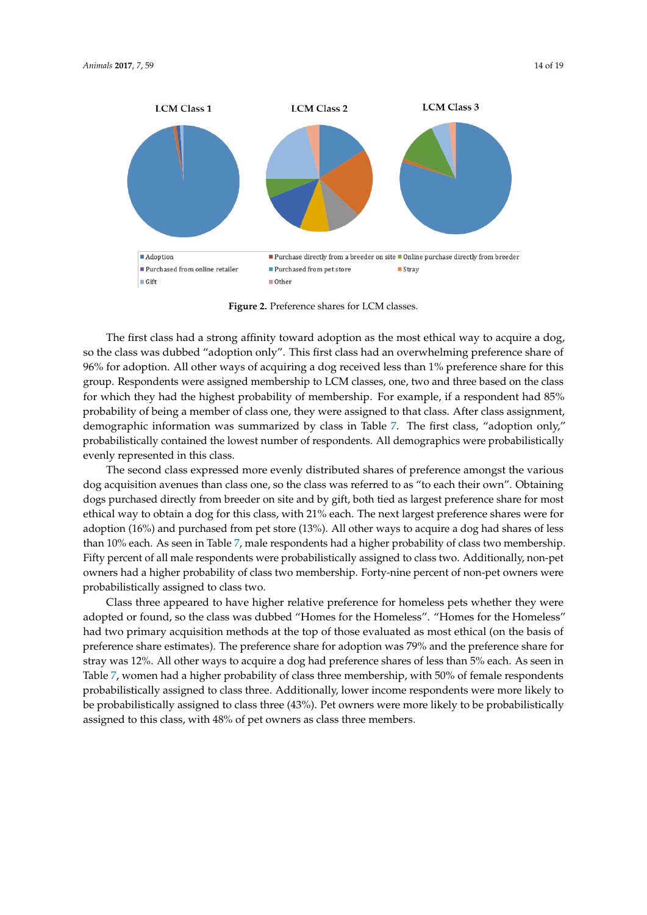<span id="page-13-0"></span>

**Figure 2.** Preference shares for LCM classes. **Figure 2.** Preference shares for LCM classes.

The first class had a strong affinity toward adoption as the most ethical way to acquire a dog, so the class was dubbed "adoption only". This first class had an overwhelming preference share of for adoption. All other ways of acquiring a dog received less than 1% preference share for this group. 96% for adoption. All other ways of acquiring a dog received less than 1% preference share for this group. Respondents were assigned membership to LCM classes, one, two and three based on the class for the class which they had the highest probability of membership. For example, if a respondent had 85% for which they had the highest probability of membership. For example, if a respondent had 85% probability of being a member of class one, they were assigned to that class. After class assignment, probability of being a member of class one, they were assigned to that class. After class assignment, demographic information was summarized by class in Table 7. The first class, "adoption only," demographic information was summarized by class in Table [7.](#page-14-0) The first class, "adoption only," probabilistically contained the lowest number of respondents. All demographics were probabilistically contained the lowest number of respondents. All demographics were probabilistically probabilizing evenly represented in this class.

The second class expressed more evenly distributed shares of preference amongst the various The second class expressed more evenly distributed shares of preference amongst the various dog acquisition avenues than class one, so the class was referred to as "to each their own". Obtaining dog acquisition avenues than class one, so the class was referred to as "to each their own". Obtaining dogs purchased directly from breeder on site and by gift, both tied as largest preference share for dogs purchased directly from breeder on site and by gift, both tied as largest preference share for most most ethical way to obtain a dog for this class, with 21% each. The next largest preference shares were ethical way to obtain a dog for this class, with 21% each. The next largest preference shares were for for adoption (16%) and purchased from pet store (13%). All other ways to acquire a dog had shares adoption (16%) and purchased from pet store (13%). All other ways to acquire a dog had shares of less of less than 10% each. As seen in Table 7, male respondents had a higher probability of class two than 10% each. As seen in Table [7,](#page-14-0) male respondents had a higher probability of class two membership. membership. Fifty percent of all male respondents were probabilistically assigned to class two. Fifty percent of all male respondents were probabilistically assigned to class two. Additionally, non-pet Additional a higher probability of class two membership. Forty-nine percent of non-pet owners were owners had a higher probability of class two membership. Forty-nine percent of non-pet owners were of non-pet owners were probabilistically assigned to class two. probabilistically assigned to class two.

Class three appeared to have higher relative preference for homeless pets whether they were Class three appeared to have higher relative preference for homeless pets whether they were adopted or found, so the class was dubbed "Homes for the Homeless". "Homes for the Homeless" adopted or found, so the class was dubbed "Homes for the Homeless". "Homes for the Homeless" had two primary acquisition methods at the top of those evaluated as most ethical (on the basis of had two primary acquisition methods at the top of those evaluated as most ethical (on the basis of preference share estimates). The preference share for adoption was 79% and the preference share for preference share estimates). The preference share for adoption was 79% and the preference share for stray was 12%. All other ways to acquire a dog had preference shares of less than 5% each. As seen stray was 12%. All other ways to acquire a dog had preference shares of less than 5% each. As seen in Finally was 12 for the cater ways to acquire a dog made protective shares of this social to seem in Table [7,](#page-14-0) women had a higher probability of class three membership, with 50% of female respondents respondents probabilistically assigned to class three. Additionally, lower income respondents were probabilistically assigned to class three. Additionally, lower income respondents were more likely to more likely to be probabilistically assigned to class three (43%). Pet owners were more likely to be be probabilistically assigned to class three (43%). Pet owners were more likely to be probabilistically probabilistically assigned to this class, with 48% of pet owners as class three members. assigned to this class, with 48% of pet owners as class three members.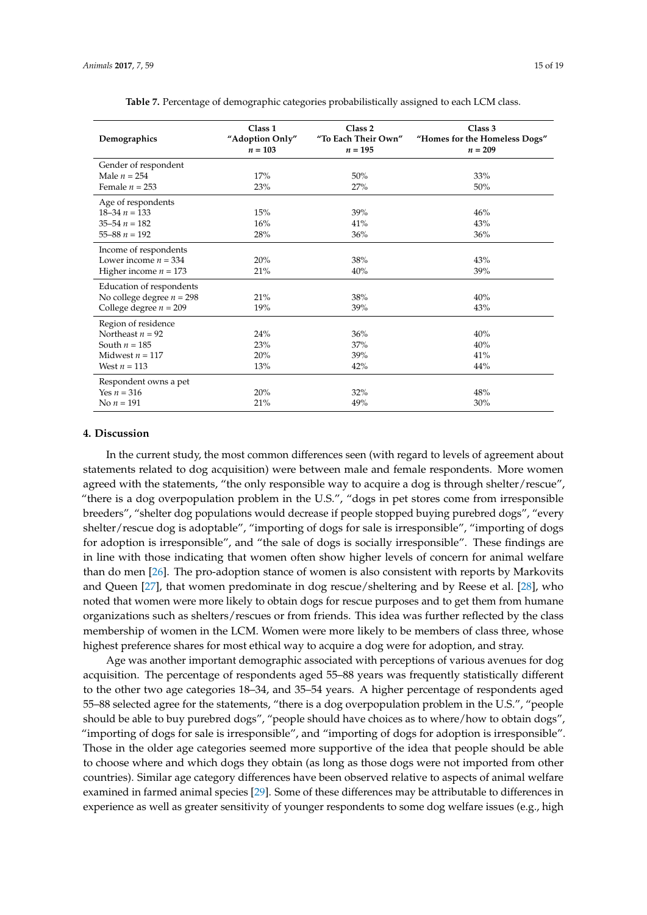<span id="page-14-0"></span>

| Demographics                | Class <sub>1</sub><br>"Adoption Only"<br>$n = 103$ | Class <sub>2</sub><br>"To Each Their Own"<br>$n = 195$ | Class 3<br>"Homes for the Homeless Dogs"<br>$n = 209$ |
|-----------------------------|----------------------------------------------------|--------------------------------------------------------|-------------------------------------------------------|
| Gender of respondent        |                                                    |                                                        |                                                       |
| Male $n = 254$              | 17%                                                | 50%                                                    | 33%                                                   |
| Female $n = 253$            | 23%                                                | 27%                                                    | 50%                                                   |
| Age of respondents          |                                                    |                                                        |                                                       |
| $18 - 34 n = 133$           | 15%                                                | 39%                                                    | 46%                                                   |
| $35 - 54 n = 182$           | 16%                                                | 41%                                                    | 43%                                                   |
| $55 - 88 n = 192$           | 28%                                                | 36%                                                    | 36%                                                   |
| Income of respondents       |                                                    |                                                        |                                                       |
| Lower income $n = 334$      | 20%                                                | 38%                                                    | 43%                                                   |
| Higher income $n = 173$     | 21%                                                | 40%                                                    | 39%                                                   |
| Education of respondents    |                                                    |                                                        |                                                       |
| No college degree $n = 298$ | 21%                                                | 38%                                                    | 40%                                                   |
| College degree $n = 209$    | 19%                                                | 39%                                                    | 43%                                                   |
| Region of residence         |                                                    |                                                        |                                                       |
| Northeast $n = 92$          | 24%                                                | 36%                                                    | 40%                                                   |
| South $n = 185$             | 23%                                                | 37%                                                    | 40%                                                   |
| Midwest $n = 117$           | 20%                                                | 39%                                                    | 41%                                                   |
| West $n = 113$              | 13%                                                | 42%                                                    | 44%                                                   |
| Respondent owns a pet       |                                                    |                                                        |                                                       |
| Yes $n = 316$               | 20%                                                | 32%                                                    | 48%                                                   |
| No $n = 191$                | 21%                                                | 49%                                                    | 30%                                                   |

**Table 7.** Percentage of demographic categories probabilistically assigned to each LCM class.

#### **4. Discussion**

In the current study, the most common differences seen (with regard to levels of agreement about statements related to dog acquisition) were between male and female respondents. More women agreed with the statements, "the only responsible way to acquire a dog is through shelter/rescue", "there is a dog overpopulation problem in the U.S.", "dogs in pet stores come from irresponsible breeders", "shelter dog populations would decrease if people stopped buying purebred dogs", "every shelter/rescue dog is adoptable", "importing of dogs for sale is irresponsible", "importing of dogs for adoption is irresponsible", and "the sale of dogs is socially irresponsible". These findings are in line with those indicating that women often show higher levels of concern for animal welfare than do men [\[26\]](#page-18-4). The pro-adoption stance of women is also consistent with reports by Markovits and Queen [\[27\]](#page-18-5), that women predominate in dog rescue/sheltering and by Reese et al. [\[28\]](#page-18-6), who noted that women were more likely to obtain dogs for rescue purposes and to get them from humane organizations such as shelters/rescues or from friends. This idea was further reflected by the class membership of women in the LCM. Women were more likely to be members of class three, whose highest preference shares for most ethical way to acquire a dog were for adoption, and stray.

Age was another important demographic associated with perceptions of various avenues for dog acquisition. The percentage of respondents aged 55–88 years was frequently statistically different to the other two age categories 18–34, and 35–54 years. A higher percentage of respondents aged 55–88 selected agree for the statements, "there is a dog overpopulation problem in the U.S.", "people should be able to buy purebred dogs", "people should have choices as to where/how to obtain dogs", "importing of dogs for sale is irresponsible", and "importing of dogs for adoption is irresponsible". Those in the older age categories seemed more supportive of the idea that people should be able to choose where and which dogs they obtain (as long as those dogs were not imported from other countries). Similar age category differences have been observed relative to aspects of animal welfare examined in farmed animal species [\[29\]](#page-18-7). Some of these differences may be attributable to differences in experience as well as greater sensitivity of younger respondents to some dog welfare issues (e.g., high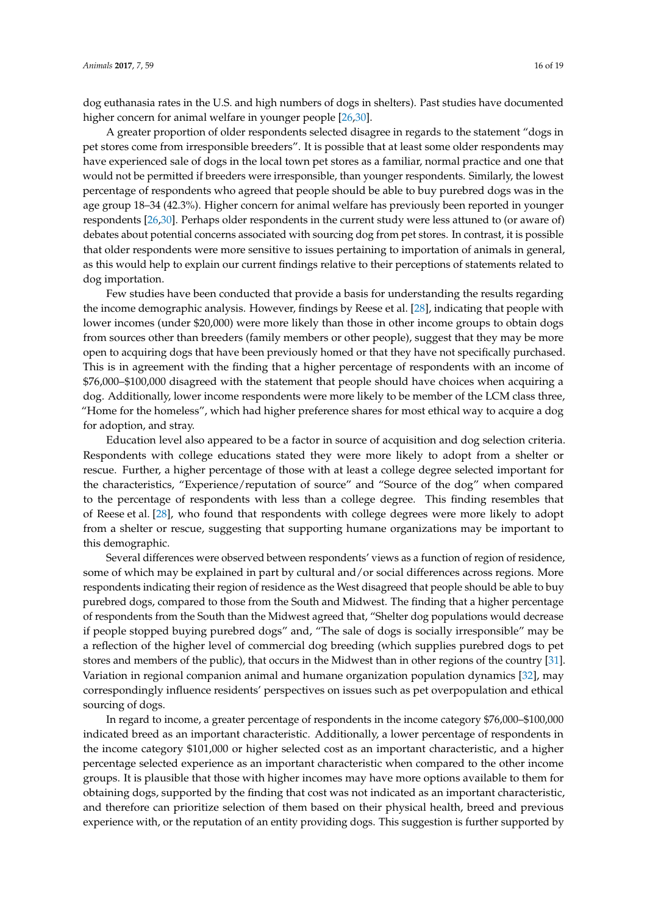dog euthanasia rates in the U.S. and high numbers of dogs in shelters). Past studies have documented higher concern for animal welfare in younger people [\[26,](#page-18-4)[30\]](#page-18-8).

A greater proportion of older respondents selected disagree in regards to the statement "dogs in pet stores come from irresponsible breeders". It is possible that at least some older respondents may have experienced sale of dogs in the local town pet stores as a familiar, normal practice and one that would not be permitted if breeders were irresponsible, than younger respondents. Similarly, the lowest percentage of respondents who agreed that people should be able to buy purebred dogs was in the age group 18–34 (42.3%). Higher concern for animal welfare has previously been reported in younger respondents [\[26,](#page-18-4)[30\]](#page-18-8). Perhaps older respondents in the current study were less attuned to (or aware of) debates about potential concerns associated with sourcing dog from pet stores. In contrast, it is possible that older respondents were more sensitive to issues pertaining to importation of animals in general, as this would help to explain our current findings relative to their perceptions of statements related to dog importation.

Few studies have been conducted that provide a basis for understanding the results regarding the income demographic analysis. However, findings by Reese et al. [\[28\]](#page-18-6), indicating that people with lower incomes (under \$20,000) were more likely than those in other income groups to obtain dogs from sources other than breeders (family members or other people), suggest that they may be more open to acquiring dogs that have been previously homed or that they have not specifically purchased. This is in agreement with the finding that a higher percentage of respondents with an income of \$76,000–\$100,000 disagreed with the statement that people should have choices when acquiring a dog. Additionally, lower income respondents were more likely to be member of the LCM class three, "Home for the homeless", which had higher preference shares for most ethical way to acquire a dog for adoption, and stray.

Education level also appeared to be a factor in source of acquisition and dog selection criteria. Respondents with college educations stated they were more likely to adopt from a shelter or rescue. Further, a higher percentage of those with at least a college degree selected important for the characteristics, "Experience/reputation of source" and "Source of the dog" when compared to the percentage of respondents with less than a college degree. This finding resembles that of Reese et al. [\[28\]](#page-18-6), who found that respondents with college degrees were more likely to adopt from a shelter or rescue, suggesting that supporting humane organizations may be important to this demographic.

Several differences were observed between respondents' views as a function of region of residence, some of which may be explained in part by cultural and/or social differences across regions. More respondents indicating their region of residence as the West disagreed that people should be able to buy purebred dogs, compared to those from the South and Midwest. The finding that a higher percentage of respondents from the South than the Midwest agreed that, "Shelter dog populations would decrease if people stopped buying purebred dogs" and, "The sale of dogs is socially irresponsible" may be a reflection of the higher level of commercial dog breeding (which supplies purebred dogs to pet stores and members of the public), that occurs in the Midwest than in other regions of the country [\[31\]](#page-18-9). Variation in regional companion animal and humane organization population dynamics [\[32\]](#page-18-10), may correspondingly influence residents' perspectives on issues such as pet overpopulation and ethical sourcing of dogs.

In regard to income, a greater percentage of respondents in the income category \$76,000–\$100,000 indicated breed as an important characteristic. Additionally, a lower percentage of respondents in the income category \$101,000 or higher selected cost as an important characteristic, and a higher percentage selected experience as an important characteristic when compared to the other income groups. It is plausible that those with higher incomes may have more options available to them for obtaining dogs, supported by the finding that cost was not indicated as an important characteristic, and therefore can prioritize selection of them based on their physical health, breed and previous experience with, or the reputation of an entity providing dogs. This suggestion is further supported by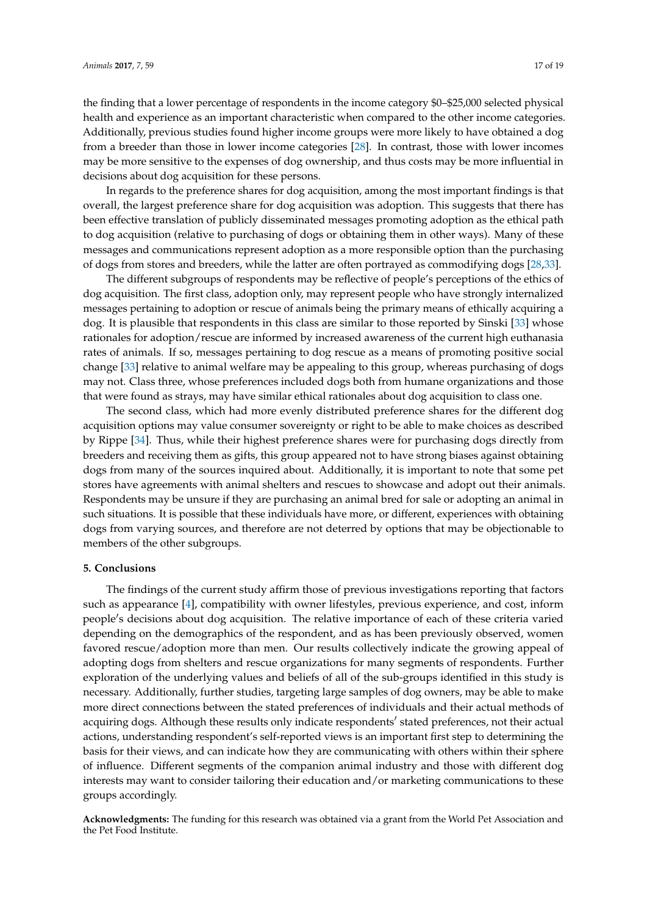the finding that a lower percentage of respondents in the income category \$0–\$25,000 selected physical health and experience as an important characteristic when compared to the other income categories. Additionally, previous studies found higher income groups were more likely to have obtained a dog from a breeder than those in lower income categories [\[28\]](#page-18-6). In contrast, those with lower incomes may be more sensitive to the expenses of dog ownership, and thus costs may be more influential in decisions about dog acquisition for these persons.

In regards to the preference shares for dog acquisition, among the most important findings is that overall, the largest preference share for dog acquisition was adoption. This suggests that there has been effective translation of publicly disseminated messages promoting adoption as the ethical path to dog acquisition (relative to purchasing of dogs or obtaining them in other ways). Many of these messages and communications represent adoption as a more responsible option than the purchasing of dogs from stores and breeders, while the latter are often portrayed as commodifying dogs [\[28](#page-18-6)[,33\]](#page-18-11).

The different subgroups of respondents may be reflective of people's perceptions of the ethics of dog acquisition. The first class, adoption only, may represent people who have strongly internalized messages pertaining to adoption or rescue of animals being the primary means of ethically acquiring a dog. It is plausible that respondents in this class are similar to those reported by Sinski [\[33\]](#page-18-11) whose rationales for adoption/rescue are informed by increased awareness of the current high euthanasia rates of animals. If so, messages pertaining to dog rescue as a means of promoting positive social change [\[33\]](#page-18-11) relative to animal welfare may be appealing to this group, whereas purchasing of dogs may not. Class three, whose preferences included dogs both from humane organizations and those that were found as strays, may have similar ethical rationales about dog acquisition to class one.

The second class, which had more evenly distributed preference shares for the different dog acquisition options may value consumer sovereignty or right to be able to make choices as described by Rippe [\[34\]](#page-18-12). Thus, while their highest preference shares were for purchasing dogs directly from breeders and receiving them as gifts, this group appeared not to have strong biases against obtaining dogs from many of the sources inquired about. Additionally, it is important to note that some pet stores have agreements with animal shelters and rescues to showcase and adopt out their animals. Respondents may be unsure if they are purchasing an animal bred for sale or adopting an animal in such situations. It is possible that these individuals have more, or different, experiences with obtaining dogs from varying sources, and therefore are not deterred by options that may be objectionable to members of the other subgroups.

## **5. Conclusions**

The findings of the current study affirm those of previous investigations reporting that factors such as appearance [\[4\]](#page-17-3), compatibility with owner lifestyles, previous experience, and cost, inform people's decisions about dog acquisition. The relative importance of each of these criteria varied depending on the demographics of the respondent, and as has been previously observed, women favored rescue/adoption more than men. Our results collectively indicate the growing appeal of adopting dogs from shelters and rescue organizations for many segments of respondents. Further exploration of the underlying values and beliefs of all of the sub-groups identified in this study is necessary. Additionally, further studies, targeting large samples of dog owners, may be able to make more direct connections between the stated preferences of individuals and their actual methods of acquiring dogs. Although these results only indicate respondents' stated preferences, not their actual actions, understanding respondent's self-reported views is an important first step to determining the basis for their views, and can indicate how they are communicating with others within their sphere of influence. Different segments of the companion animal industry and those with different dog interests may want to consider tailoring their education and/or marketing communications to these groups accordingly.

**Acknowledgments:** The funding for this research was obtained via a grant from the World Pet Association and the Pet Food Institute.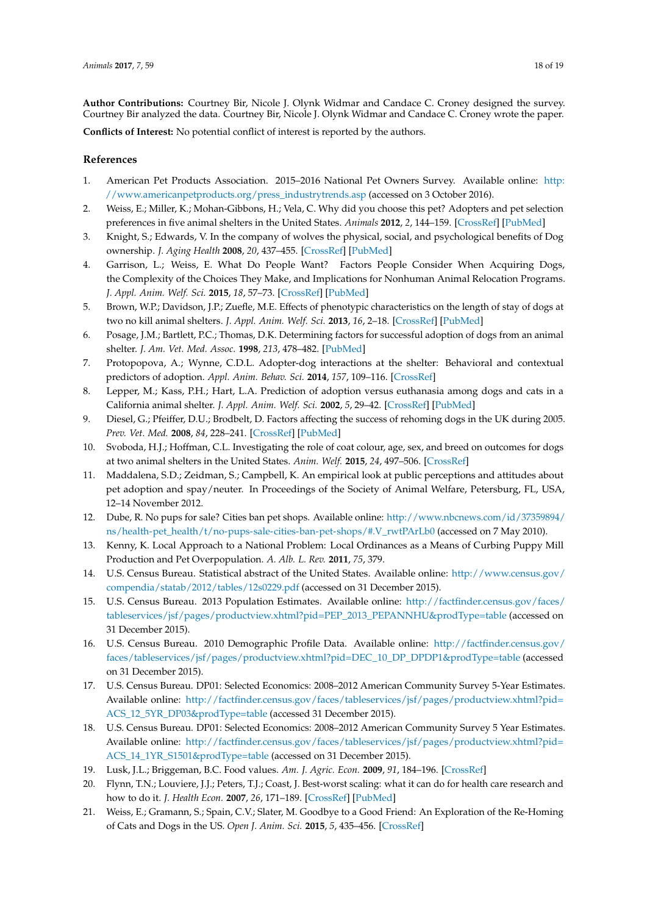**Author Contributions:** Courtney Bir, Nicole J. Olynk Widmar and Candace C. Croney designed the survey. Courtney Bir analyzed the data. Courtney Bir, Nicole J. Olynk Widmar and Candace C. Croney wrote the paper.

**Conflicts of Interest:** No potential conflict of interest is reported by the authors.

## **References**

- <span id="page-17-0"></span>1. American Pet Products Association. 2015–2016 National Pet Owners Survey. Available online: [http:](http://www.americanpetproducts.org/press_industrytrends.asp) [//www.americanpetproducts.org/press\\_industrytrends.asp](http://www.americanpetproducts.org/press_industrytrends.asp) (accessed on 3 October 2016).
- <span id="page-17-1"></span>2. Weiss, E.; Miller, K.; Mohan-Gibbons, H.; Vela, C. Why did you choose this pet? Adopters and pet selection preferences in five animal shelters in the United States. *Animals* **2012**, *2*, 144–159. [\[CrossRef\]](http://dx.doi.org/10.3390/ani2020144) [\[PubMed\]](http://www.ncbi.nlm.nih.gov/pubmed/26486914)
- <span id="page-17-2"></span>3. Knight, S.; Edwards, V. In the company of wolves the physical, social, and psychological benefits of Dog ownership. *J. Aging Health* **2008**, *20*, 437–455. [\[CrossRef\]](http://dx.doi.org/10.1177/0898264308315875) [\[PubMed\]](http://www.ncbi.nlm.nih.gov/pubmed/18448686)
- <span id="page-17-3"></span>4. Garrison, L.; Weiss, E. What Do People Want? Factors People Consider When Acquiring Dogs, the Complexity of the Choices They Make, and Implications for Nonhuman Animal Relocation Programs. *J. Appl. Anim. Welf. Sci.* **2015**, *18*, 57–73. [\[CrossRef\]](http://dx.doi.org/10.1080/10888705.2014.943836) [\[PubMed\]](http://www.ncbi.nlm.nih.gov/pubmed/25117185)
- <span id="page-17-4"></span>5. Brown, W.P.; Davidson, J.P.; Zuefle, M.E. Effects of phenotypic characteristics on the length of stay of dogs at two no kill animal shelters. *J. Appl. Anim. Welf. Sci.* **2013**, *16*, 2–18. [\[CrossRef\]](http://dx.doi.org/10.1080/10888705.2013.740967) [\[PubMed\]](http://www.ncbi.nlm.nih.gov/pubmed/23282290)
- <span id="page-17-5"></span>6. Posage, J.M.; Bartlett, P.C.; Thomas, D.K. Determining factors for successful adoption of dogs from an animal shelter. *J. Am. Vet. Med. Assoc.* **1998**, *213*, 478–482. [\[PubMed\]](http://www.ncbi.nlm.nih.gov/pubmed/9713528)
- <span id="page-17-6"></span>7. Protopopova, A.; Wynne, C.D.L. Adopter-dog interactions at the shelter: Behavioral and contextual predictors of adoption. *Appl. Anim. Behav. Sci.* **2014**, *157*, 109–116. [\[CrossRef\]](http://dx.doi.org/10.1016/j.applanim.2014.04.007)
- <span id="page-17-7"></span>8. Lepper, M.; Kass, P.H.; Hart, L.A. Prediction of adoption versus euthanasia among dogs and cats in a California animal shelter. *J. Appl. Anim. Welf. Sci.* **2002**, *5*, 29–42. [\[CrossRef\]](http://dx.doi.org/10.1207/S15327604JAWS0501_3) [\[PubMed\]](http://www.ncbi.nlm.nih.gov/pubmed/12738587)
- 9. Diesel, G.; Pfeiffer, D.U.; Brodbelt, D. Factors affecting the success of rehoming dogs in the UK during 2005. *Prev. Vet. Med.* **2008**, *84*, 228–241. [\[CrossRef\]](http://dx.doi.org/10.1016/j.prevetmed.2007.12.004) [\[PubMed\]](http://www.ncbi.nlm.nih.gov/pubmed/18243374)
- <span id="page-17-8"></span>10. Svoboda, H.J.; Hoffman, C.L. Investigating the role of coat colour, age, sex, and breed on outcomes for dogs at two animal shelters in the United States. *Anim. Welf.* **2015**, *24*, 497–506. [\[CrossRef\]](http://dx.doi.org/10.7120/09627286.24.4.497)
- <span id="page-17-9"></span>11. Maddalena, S.D.; Zeidman, S.; Campbell, K. An empirical look at public perceptions and attitudes about pet adoption and spay/neuter. In Proceedings of the Society of Animal Welfare, Petersburg, FL, USA, 12–14 November 2012.
- <span id="page-17-10"></span>12. Dube, R. No pups for sale? Cities ban pet shops. Available online: [http://www.nbcnews.com/id/37359894/](http://www.nbcnews.com/id/37359894/ns/health-pet_health/t/no-pups-sale-cities-ban-pet-shops/#.V_rwtPArLb0) [ns/health-pet\\_health/t/no-pups-sale-cities-ban-pet-shops/#.V\\_rwtPArLb0](http://www.nbcnews.com/id/37359894/ns/health-pet_health/t/no-pups-sale-cities-ban-pet-shops/#.V_rwtPArLb0) (accessed on 7 May 2010).
- <span id="page-17-11"></span>13. Kenny, K. Local Approach to a National Problem: Local Ordinances as a Means of Curbing Puppy Mill Production and Pet Overpopulation. *A. Alb. L. Rev.* **2011**, *75*, 379.
- <span id="page-17-12"></span>14. U.S. Census Bureau. Statistical abstract of the United States. Available online: [http://www.census.gov/](http://www.census.gov/compendia/statab/2012/tables/12s0229.pdf) [compendia/statab/2012/tables/12s0229.pdf](http://www.census.gov/compendia/statab/2012/tables/12s0229.pdf) (accessed on 31 December 2015).
- 15. U.S. Census Bureau. 2013 Population Estimates. Available online: [http://factfinder.census.gov/faces/](http://factfinder.census.gov/faces/tableservices/jsf/pages/productview.xhtml?pid=PEP_2013_PEPANNHU&prodType=table) [tableservices/jsf/pages/productview.xhtml?pid=PEP\\_2013\\_PEPANNHU&prodType=table](http://factfinder.census.gov/faces/tableservices/jsf/pages/productview.xhtml?pid=PEP_2013_PEPANNHU&prodType=table) (accessed on 31 December 2015).
- 16. U.S. Census Bureau. 2010 Demographic Profile Data. Available online: [http://factfinder.census.gov/](http://factfinder.census.gov/faces/tableservices/jsf/pages/productview.xhtml?pid=DEC_10_DP_DPDP1&prodType=table) [faces/tableservices/jsf/pages/productview.xhtml?pid=DEC\\_10\\_DP\\_DPDP1&prodType=table](http://factfinder.census.gov/faces/tableservices/jsf/pages/productview.xhtml?pid=DEC_10_DP_DPDP1&prodType=table) (accessed on 31 December 2015).
- 17. U.S. Census Bureau. DP01: Selected Economics: 2008–2012 American Community Survey 5-Year Estimates. Available online: [http://factfinder.census.gov/faces/tableservices/jsf/pages/productview.xhtml?pid=](http://factfinder.census.gov/faces/tableservices/jsf/pages/productview.xhtml?pid=ACS_12_5YR_DP03&prodType=table) [ACS\\_12\\_5YR\\_DP03&prodType=table](http://factfinder.census.gov/faces/tableservices/jsf/pages/productview.xhtml?pid=ACS_12_5YR_DP03&prodType=table) (accessed 31 December 2015).
- <span id="page-17-13"></span>18. U.S. Census Bureau. DP01: Selected Economics: 2008–2012 American Community Survey 5 Year Estimates. Available online: [http://factfinder.census.gov/faces/tableservices/jsf/pages/productview.xhtml?pid=](http://factfinder.census.gov/faces/tableservices/jsf/pages/productview.xhtml?pid=ACS_14_1YR _S1501&prodType=table) [ACS\\_14\\_1YR\\_S1501&prodType=table](http://factfinder.census.gov/faces/tableservices/jsf/pages/productview.xhtml?pid=ACS_14_1YR _S1501&prodType=table) (accessed on 31 December 2015).
- <span id="page-17-14"></span>19. Lusk, J.L.; Briggeman, B.C. Food values. *Am. J. Agric. Econ.* **2009**, *91*, 184–196. [\[CrossRef\]](http://dx.doi.org/10.1111/j.1467-8276.2008.01175.x)
- <span id="page-17-15"></span>20. Flynn, T.N.; Louviere, J.J.; Peters, T.J.; Coast, J. Best-worst scaling: what it can do for health care research and how to do it. *J. Health Econ.* **2007**, *26*, 171–189. [\[CrossRef\]](http://dx.doi.org/10.1016/j.jhealeco.2006.04.002) [\[PubMed\]](http://www.ncbi.nlm.nih.gov/pubmed/16707175)
- <span id="page-17-16"></span>21. Weiss, E.; Gramann, S.; Spain, C.V.; Slater, M. Goodbye to a Good Friend: An Exploration of the Re-Homing of Cats and Dogs in the US. *Open J. Anim. Sci.* **2015**, *5*, 435–456. [\[CrossRef\]](http://dx.doi.org/10.4236/ojas.2015.54046)